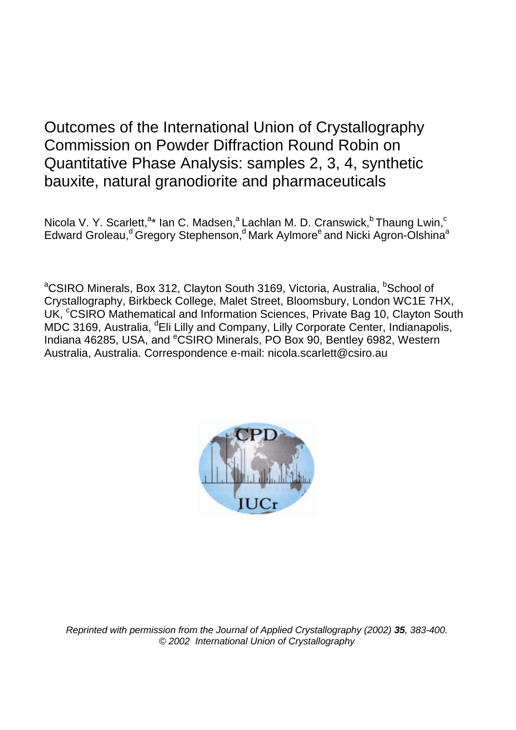# Outcomes of the International Union of Crystallography Commission on Powder Diffraction Round Robin on Quantitative Phase Analysis: samples 2, 3, 4, synthetic bauxite, natural granodiorite and pharmaceuticals

Nicola V. Y. Scarlett,<sup>a</sup>\* Ian C. Madsen,<sup>a</sup> Lachlan M. D. Cranswick,<sup>b</sup> Thaung Lwin,<sup>c</sup> Edward Groleau,<sup>d</sup> Gregory Stephenson,<sup>d</sup> Mark Aylmore<sup>e</sup> and Nicki Agron-Olshina<sup>a</sup>

<sup>a</sup>CSIRO Minerals, Box 312, Clayton South 3169, Victoria, Australia, <sup>b</sup>School of Crystallography, Birkbeck College, Malet Street, Bloomsbury, London WC1E 7HX, UK, <sup>c</sup>CSIRO Mathematical and Information Sciences, Private Bag 10, Clayton South MDC 3169, Australia, <sup>d</sup>Eli Lilly and Company, Lilly Corporate Center, Indianapolis, Indiana 46285, USA, and <sup>e</sup>CSIRO Minerals, PO Box 90, Bentley 6982, Western Australia, Australia. Correspondence e-mail: nicola.scarlett@csiro.au



*Reprinted with permission from the Journal of Applied Crystallography (2002) 35, 383-400. © 2002 International Union of Crystallography*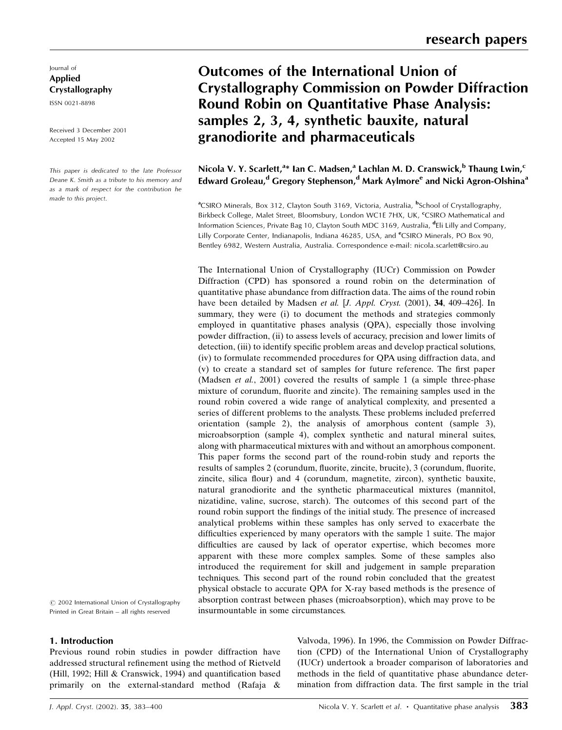Journal of Applied Crystallography

ISSN 0021-8898

Received 3 December 2001 Accepted 15 May 2002

This paper is dedicated to the late Professor Deane K. Smith as a tribute to his memory and as a mark of respect for the contribution he made to this project.

 $\circ$  2002 International Union of Crystallography Printed in Great Britain - all rights reserved

research papers

# Outcomes of the International Union of Crystallography Commission on Powder Diffraction Round Robin on Quantitative Phase Analysis: samples 2, 3, 4, synthetic bauxite, natural granodiorite and pharmaceuticals

# Nicola V. Y. Scarlett,<sup>a</sup>\* Ian C. Madsen,<sup>a</sup> Lachlan M. D. Cranswick,<sup>b</sup> Thaung Lwin,<sup>c</sup> Edward Groleau,<sup>d</sup> Gregory Stephenson,<sup>d</sup> Mark Aylmore<sup>e</sup> and Nicki Agron-Olshina<sup>a</sup>

<sup>a</sup>CSIRO Minerals, Box 312, Clayton South 3169, Victoria, Australia, <sup>b</sup>School of Crystallography, Birkbeck College, Malet Street, Bloomsbury, London WC1E 7HX, UK, <sup>c</sup>CSIRO Mathematical and Information Sciences, Private Bag 10, Clayton South MDC 3169, Australia, <sup>d</sup>Eli Lilly and Company, Lilly Corporate Center, Indianapolis, Indiana 46285, USA, and <sup>e</sup>CSIRO Minerals, PO Box 90, Bentley 6982, Western Australia, Australia. Correspondence e-mail: nicola.scarlett@csiro.au

The International Union of Crystallography (IUCr) Commission on Powder Diffraction (CPD) has sponsored a round robin on the determination of quantitative phase abundance from diffraction data. The aims of the round robin have been detailed by Madsen et al. [J. Appl. Cryst. (2001), 34, 409-426]. In summary, they were (i) to document the methods and strategies commonly employed in quantitative phases analysis (QPA), especially those involving powder diffraction, (ii) to assess levels of accuracy, precision and lower limits of detection, (iii) to identify specific problem areas and develop practical solutions, (iv) to formulate recommended procedures for QPA using diffraction data, and (v) to create a standard set of samples for future reference. The first paper (Madsen *et al.*, 2001) covered the results of sample 1 (a simple three-phase mixture of corundum, fluorite and zincite). The remaining samples used in the round robin covered a wide range of analytical complexity, and presented a series of different problems to the analysts. These problems included preferred orientation (sample 2), the analysis of amorphous content (sample 3), microabsorption (sample 4), complex synthetic and natural mineral suites, along with pharmaceutical mixtures with and without an amorphous component. This paper forms the second part of the round-robin study and reports the results of samples 2 (corundum, fluorite, zincite, brucite), 3 (corundum, fluorite, zincite, silica flour) and 4 (corundum, magnetite, zircon), synthetic bauxite, natural granodiorite and the synthetic pharmaceutical mixtures (mannitol, nizatidine, valine, sucrose, starch). The outcomes of this second part of the round robin support the findings of the initial study. The presence of increased analytical problems within these samples has only served to exacerbate the difficulties experienced by many operators with the sample 1 suite. The major difficulties are caused by lack of operator expertise, which becomes more apparent with these more complex samples. Some of these samples also introduced the requirement for skill and judgement in sample preparation techniques. This second part of the round robin concluded that the greatest physical obstacle to accurate QPA for X-ray based methods is the presence of absorption contrast between phases (microabsorption), which may prove to be insurmountable in some circumstances.

1. Introduction

Previous round robin studies in powder diffraction have addressed structural refinement using the method of Rietveld (Hill, 1992; Hill  $&$  Cranswick, 1994) and quantification based primarily on the external-standard method (Rafaja &

Valvoda, 1996). In 1996, the Commission on Powder Diffraction (CPD) of the International Union of Crystallography (IUCr) undertook a broader comparison of laboratories and methods in the field of quantitative phase abundance determination from diffraction data. The first sample in the trial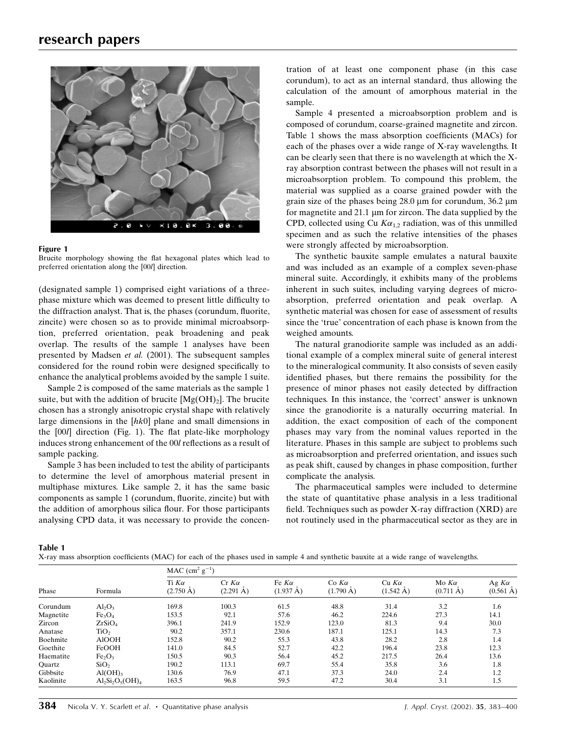

#### Figure 1

Brucite morphology showing the flat hexagonal plates which lead to preferred orientation along the [00l] direction.

(designated sample 1) comprised eight variations of a threephase mixture which was deemed to present little difficulty to the diffraction analyst. That is, the phases (corundum, fluorite, zincite) were chosen so as to provide minimal microabsorption, preferred orientation, peak broadening and peak overlap. The results of the sample 1 analyses have been presented by Madsen et al. (2001). The subsequent samples considered for the round robin were designed specifically to enhance the analytical problems avoided by the sample 1 suite.

Sample 2 is composed of the same materials as the sample 1 suite, but with the addition of brucite  $[Mg(OH)_2]$ . The brucite chosen has a strongly anisotropic crystal shape with relatively large dimensions in the [hk0] plane and small dimensions in the  $[00l]$  direction (Fig. 1). The flat plate-like morphology induces strong enhancement of the 00l reflections as a result of sample packing.

Sample 3 has been included to test the ability of participants to determine the level of amorphous material present in multiphase mixtures. Like sample 2, it has the same basic components as sample 1 (corundum, fluorite, zincite) but with the addition of amorphous silica flour. For those participants analysing CPD data, it was necessary to provide the concentration of at least one component phase (in this case corundum), to act as an internal standard, thus allowing the calculation of the amount of amorphous material in the sample.

Sample 4 presented a microabsorption problem and is composed of corundum, coarse-grained magnetite and zircon. Table 1 shows the mass absorption coefficients (MACs) for each of the phases over a wide range of X-ray wavelengths. It can be clearly seen that there is no wavelength at which the Xray absorption contrast between the phases will not result in a microabsorption problem. To compound this problem, the material was supplied as a coarse grained powder with the grain size of the phases being  $28.0 \mu m$  for corundum,  $36.2 \mu m$ for magnetite and  $21.1 \mu m$  for zircon. The data supplied by the CPD, collected using Cu  $K\alpha_{12}$  radiation, was of this unmilled specimen and as such the relative intensities of the phases were strongly affected by microabsorption.

The synthetic bauxite sample emulates a natural bauxite and was included as an example of a complex seven-phase mineral suite. Accordingly, it exhibits many of the problems inherent in such suites, including varying degrees of microabsorption, preferred orientation and peak overlap. A synthetic material was chosen for ease of assessment of results since the 'true' concentration of each phase is known from the weighed amounts.

The natural granodiorite sample was included as an additional example of a complex mineral suite of general interest to the mineralogical community. It also consists of seven easily identified phases, but there remains the possibility for the presence of minor phases not easily detected by diffraction techniques. In this instance, the `correct' answer is unknown since the granodiorite is a naturally occurring material. In addition, the exact composition of each of the component phases may vary from the nominal values reported in the literature. Phases in this sample are subject to problems such as microabsorption and preferred orientation, and issues such as peak shift, caused by changes in phase composition, further complicate the analysis.

The pharmaceutical samples were included to determine the state of quantitative phase analysis in a less traditional field. Techniques such as powder X-ray diffraction (XRD) are not routinely used in the pharmaceutical sector as they are in

| - -<br>۰.<br>×<br>. .<br>۰.<br>× |  |
|----------------------------------|--|
|----------------------------------|--|

|  |  | X-ray mass absorption coefficients (MAC) for each of the phases used in sample 4 and synthetic bauxite at a wide range of wavelengths. |  |  |  |  |  |  |  |
|--|--|----------------------------------------------------------------------------------------------------------------------------------------|--|--|--|--|--|--|--|
|--|--|----------------------------------------------------------------------------------------------------------------------------------------|--|--|--|--|--|--|--|

|           | Formula                        | MAC $(cm^{2} g^{-1})$               |                                       |                                     |                                      |                                        |                                     |                                     |
|-----------|--------------------------------|-------------------------------------|---------------------------------------|-------------------------------------|--------------------------------------|----------------------------------------|-------------------------------------|-------------------------------------|
| Phase     |                                | Ti $K\alpha$<br>$(2.750 \text{ Å})$ | $Cr$ $K\alpha$<br>$(2.291 \text{ Å})$ | Fe $K\alpha$<br>$(1.937 \text{ Å})$ | $Co\ K\alpha$<br>$(1.790 \text{ Å})$ | $Cu$ K $\alpha$<br>$(1.542 \text{ Å})$ | Mo $K\alpha$<br>$(0.711 \text{ Å})$ | Ag $K\alpha$<br>$(0.561 \text{ Å})$ |
| Corundum  | $Al_2O_3$                      | 169.8                               | 100.3                                 | 61.5                                | 48.8                                 | 31.4                                   | 3.2                                 | 1.6                                 |
| Magnetite | Fe <sub>3</sub> O <sub>4</sub> | 153.5                               | 92.1                                  | 57.6                                | 46.2                                 | 224.6                                  | 27.3                                | 14.1                                |
| Zircon    | ZrSiO <sub>4</sub>             | 396.1                               | 241.9                                 | 152.9                               | 123.0                                | 81.3                                   | 9.4                                 | 30.0                                |
| Anatase   | TiO <sub>2</sub>               | 90.2                                | 357.1                                 | 230.6                               | 187.1                                | 125.1                                  | 14.3                                | 7.3                                 |
| Boehmite  | <b>AlOOH</b>                   | 152.8                               | 90.2                                  | 55.3                                | 43.8                                 | 28.2                                   | 2.8                                 | 1.4                                 |
| Goethite  | FeOOH                          | 141.0                               | 84.5                                  | 52.7                                | 42.2                                 | 196.4                                  | 23.8                                | 12.3                                |
| Haematite | Fe <sub>2</sub> O <sub>3</sub> | 150.5                               | 90.3                                  | 56.4                                | 45.2                                 | 217.5                                  | 26.4                                | 13.6                                |
| Ouartz    | SiO <sub>2</sub>               | 190.2                               | 113.1                                 | 69.7                                | 55.4                                 | 35.8                                   | 3.6                                 | 1.8                                 |
| Gibbsite  | $Al(OH)_{3}$                   | 130.6                               | 76.9                                  | 47.1                                | 37.3                                 | 24.0                                   | 2.4                                 | 1.2                                 |
| Kaolinite | $Al_2Si_2O_5(OH)_4$            | 163.5                               | 96.8                                  | 59.5                                | 47.2                                 | 30.4                                   | 3.1                                 | 1.5                                 |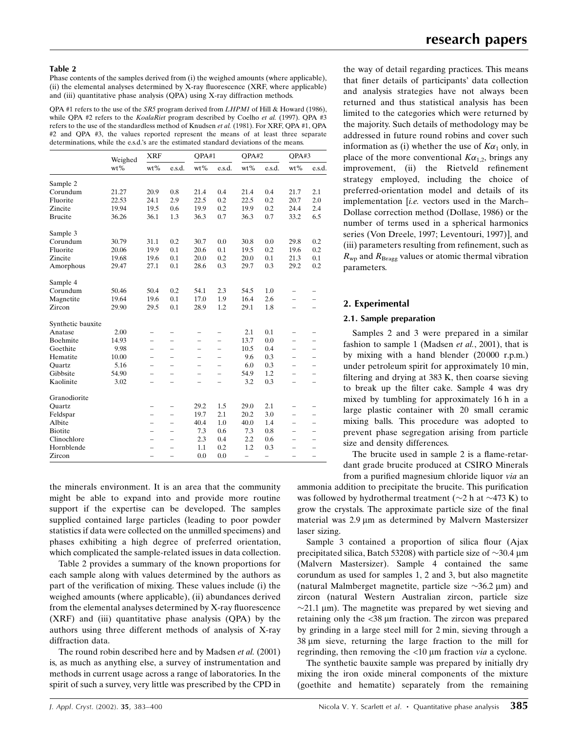Phase contents of the samples derived from (i) the weighed amounts (where applicable), (ii) the elemental analyses determined by X-ray fluorescence  $(XRF,$  where applicable) and (iii) quantitative phase analysis (QPA) using X-ray diffraction methods.

QPA #1 refers to the use of the SR5 program derived from LHPM1 of Hill & Howard (1986), while QPA #2 refers to the *KoalaRiet* program described by Coelho et al. (1997). QPA #3 refers to the use of the standardless method of Knudsen et al. (1981). For XRF, QPA #1, QPA #2 and QPA #3, the values reported represent the means of at least three separate determinations, while the e.s.d.'s are the estimated standard deviations of the means.

|                   | Weighed | <b>XRF</b>               |                          | OPA#1                    |                          | OPA#2  |        | QPA#3                    |                          |
|-------------------|---------|--------------------------|--------------------------|--------------------------|--------------------------|--------|--------|--------------------------|--------------------------|
|                   | $wt\%$  | $wt\%$                   | e.s.d.                   | wt%                      | e.s.d.                   | $wt\%$ | e.s.d. | $\le 1\%$                | e.s.d.                   |
| Sample 2          |         |                          |                          |                          |                          |        |        |                          |                          |
| Corundum          | 21.27   | 20.9                     | 0.8                      | 21.4                     | 0.4                      | 21.4   | 0.4    | 21.7                     | 2.1                      |
| Fluorite          | 22.53   | 24.1                     | 2.9                      | 22.5                     | 0.2                      | 22.5   | 0.2    | 20.7                     | 2.0                      |
| Zincite           | 19.94   | 19.5                     | 0.6                      | 19.9                     | 0.2                      | 19.9   | 0.2    | 24.4                     | 2.4                      |
| <b>Brucite</b>    | 36.26   | 36.1                     | 1.3                      | 36.3                     | 0.7                      | 36.3   | 0.7    | 33.2                     | 6.5                      |
| Sample 3          |         |                          |                          |                          |                          |        |        |                          |                          |
| Corundum          | 30.79   | 31.1                     | 0.2                      | 30.7                     | 0.0                      | 30.8   | 0.0    | 29.8                     | 0.2                      |
| Fluorite          | 20.06   | 19.9                     | 0.1                      | 20.6                     | 0.1                      | 19.5   | 0.2    | 19.6                     | 0.2                      |
| Zincite           | 19.68   | 19.6                     | 0.1                      | 20.0                     | 0.2                      | 20.0   | 0.1    | 21.3                     | 0.1                      |
| Amorphous         | 29.47   | 27.1                     | 0.1                      | 28.6                     | 0.3                      | 29.7   | 0.3    | 29.2                     | 0.2                      |
| Sample 4          |         |                          |                          |                          |                          |        |        |                          |                          |
| Corundum          | 50.46   | 50.4                     | 0.2                      | 54.1                     | 2.3                      | 54.5   | 1.0    | $\qquad \qquad -$        | $\qquad \qquad -$        |
| Magnetite         | 19.64   | 19.6                     | 0.1                      | 17.0                     | 1.9                      | 16.4   | 2.6    | $\overline{\phantom{0}}$ | $\overline{\phantom{0}}$ |
| Zircon            | 29.90   | 29.5                     | 0.1                      | 28.9                     | 1.2                      | 29.1   | 1.8    | $\overline{\phantom{0}}$ | $\overline{\phantom{0}}$ |
| Synthetic bauxite |         |                          |                          |                          |                          |        |        |                          |                          |
| Anatase           | 2.00    |                          | $\overline{\phantom{0}}$ | $\overline{\phantom{0}}$ | $\overline{\phantom{0}}$ | 2.1    | 0.1    |                          |                          |
| Boehmite          | 14.93   | $\overline{\phantom{0}}$ | $\overline{\phantom{0}}$ | $\overline{\phantom{0}}$ | $\overline{\phantom{0}}$ | 13.7   | 0.0    | -                        |                          |
| Goethite          | 9.98    | $\qquad \qquad -$        | $\overline{\phantom{0}}$ | $\overline{\phantom{0}}$ | $\overline{\phantom{0}}$ | 10.5   | 0.4    | -                        | —                        |
| Hematite          | 10.00   | $\overline{\phantom{0}}$ | $\overline{\phantom{0}}$ | $\overline{\phantom{0}}$ | $\overline{\phantom{0}}$ | 9.6    | 0.3    | $\overline{\phantom{0}}$ | $\overline{\phantom{0}}$ |
| <b>Quartz</b>     | 5.16    | $\overline{\phantom{0}}$ | $\overline{\phantom{0}}$ | $\overline{\phantom{0}}$ | $\overline{\phantom{0}}$ | 6.0    | 0.3    | $\overline{\phantom{0}}$ | $\overline{\phantom{0}}$ |
| Gibbsite          | 54.90   | $\overline{\phantom{0}}$ | $\overline{\phantom{0}}$ | $\overline{\phantom{0}}$ | $\overline{\phantom{0}}$ | 54.9   | 1.2    | $\overline{\phantom{0}}$ | $\overline{\phantom{0}}$ |
| Kaolinite         | 3.02    |                          |                          | $\overline{\phantom{0}}$ | $\overline{\phantom{0}}$ | 3.2    | 0.3    | $\overline{\phantom{0}}$ |                          |
| Granodiorite      |         |                          |                          |                          |                          |        |        |                          |                          |
| <b>Quartz</b>     |         |                          | $\overline{\phantom{0}}$ | 29.2                     | 1.5                      | 29.0   | 2.1    | $\overline{\phantom{0}}$ |                          |
| Feldspar          |         |                          | $\overline{\phantom{0}}$ | 19.7                     | 2.1                      | 20.2   | 3.0    | $\overline{\phantom{0}}$ | $\overline{\phantom{0}}$ |
| Albite            |         | $\overline{\phantom{0}}$ | $\overline{\phantom{0}}$ | 40.4                     | 1.0                      | 40.0   | 1.4    | $\overline{\phantom{0}}$ | $\overline{\phantom{0}}$ |
| Biotite           |         |                          | $\overline{\phantom{0}}$ | 7.3                      | 0.6                      | 7.3    | 0.8    | $\overline{\phantom{0}}$ | $\overline{\phantom{0}}$ |
| Clinochlore       |         | $\overline{\phantom{0}}$ | $\overline{\phantom{0}}$ | 2.3                      | 0.4                      | 2.2    | 0.6    | $\overline{\phantom{0}}$ | $\overline{\phantom{0}}$ |
| Hornblende        |         |                          |                          | 1.1                      | 0.2                      | 1.2    | 0.3    |                          |                          |
| Zircon            |         |                          |                          | 0.0                      | 0.0                      |        |        |                          |                          |

the minerals environment. It is an area that the community might be able to expand into and provide more routine support if the expertise can be developed. The samples supplied contained large particles (leading to poor powder statistics if data were collected on the unmilled specimens) and phases exhibiting a high degree of preferred orientation, which complicated the sample-related issues in data collection.

Table 2 provides a summary of the known proportions for each sample along with values determined by the authors as part of the verification of mixing. These values include (i) the weighed amounts (where applicable), (ii) abundances derived from the elemental analyses determined by X-ray fluorescence (XRF) and (iii) quantitative phase analysis (QPA) by the authors using three different methods of analysis of X-ray diffraction data.

The round robin described here and by Madsen et al. (2001) is, as much as anything else, a survey of instrumentation and methods in current usage across a range of laboratories. In the spirit of such a survey, very little was prescribed by the CPD in

the way of detail regarding practices. This means that finer details of participants' data collection and analysis strategies have not always been returned and thus statistical analysis has been limited to the categories which were returned by the majority. Such details of methodology may be addressed in future round robins and cover such information as (i) whether the use of  $K\alpha_1$  only, in place of the more conventional  $K\alpha_{1,2}$ , brings any improvement, (ii) the Rietveld refinement strategy employed, including the choice of preferred-orientation model and details of its implementation  $[i.e.$  vectors used in the March-Dollase correction method (Dollase, 1986) or the number of terms used in a spherical harmonics series (Von Dreele, 1997; Leventouri, 1997)], and (iii) parameters resulting from refinement, such as  $R_{wp}$  and  $R_{Bragg}$  values or atomic thermal vibration parameters.

# 2. Experimental

# 2.1. Sample preparation

Samples 2 and 3 were prepared in a similar fashion to sample 1 (Madsen *et al.*, 2001), that is by mixing with a hand blender (20000 r.p.m.) under petroleum spirit for approximately 10 min, filtering and drying at  $383$  K, then coarse sieving to break up the filter cake. Sample 4 was dry mixed by tumbling for approximately 16 h in a large plastic container with 20 small ceramic mixing balls. This procedure was adopted to prevent phase segregation arising from particle size and density differences.

The brucite used in sample 2 is a flame-retardant grade brucite produced at CSIRO Minerals

from a purified magnesium chloride liquor via an ammonia addition to precipitate the brucite. This purification was followed by hydrothermal treatment ( $\sim$ 2 h at  $\sim$ 473 K) to grow the crystals. The approximate particle size of the final material was  $2.9 \mu m$  as determined by Malvern Mastersizer laser sizing.

Sample 3 contained a proportion of silica flour (Ajax precipitated silica, Batch 53208) with particle size of  $\sim$ 30.4 µm (Malvern Mastersizer). Sample 4 contained the same corundum as used for samples 1, 2 and 3, but also magnetite (natural Malmberget magnetite, particle size  $\sim$ 36.2 µm) and zircon (natural Western Australian zircon, particle size  $\sim$ 21.1 um). The magnetite was prepared by wet sieving and retaining only the  $\langle 38 \mu \text{m} \rangle$  fraction. The zircon was prepared by grinding in a large steel mill for 2 min, sieving through a  $38 \mu m$  sieve, returning the large fraction to the mill for regrinding, then removing the  $\langle 10 \mu m \rangle$  fraction *via* a cyclone.

The synthetic bauxite sample was prepared by initially dry mixing the iron oxide mineral components of the mixture (goethite and hematite) separately from the remaining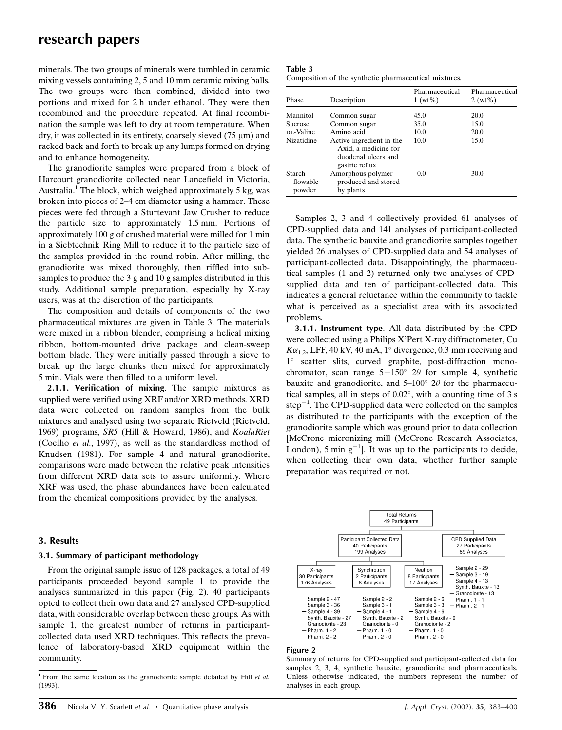minerals. The two groups of minerals were tumbled in ceramic mixing vessels containing 2, 5 and 10 mm ceramic mixing balls. The two groups were then combined, divided into two portions and mixed for 2 h under ethanol. They were then recombined and the procedure repeated. At final recombination the sample was left to dry at room temperature. When dry, it was collected in its entirety, coarsely sieved  $(75 \mu m)$  and racked back and forth to break up any lumps formed on drying and to enhance homogeneity.

The granodiorite samples were prepared from a block of Harcourt granodiorite collected near Lancefield in Victoria, Australia.<sup>1</sup> The block, which weighed approximately 5 kg, was broken into pieces of 2–4 cm diameter using a hammer. These pieces were fed through a Sturtevant Jaw Crusher to reduce the particle size to approximately 1.5 mm. Portions of approximately 100 g of crushed material were milled for 1 min in a Siebtechnik Ring Mill to reduce it to the particle size of the samples provided in the round robin. After milling, the granodiorite was mixed thoroughly, then riffled into subsamples to produce the 3 g and 10 g samples distributed in this study. Additional sample preparation, especially by X-ray users, was at the discretion of the participants.

The composition and details of components of the two pharmaceutical mixtures are given in Table 3. The materials were mixed in a ribbon blender, comprising a helical mixing ribbon, bottom-mounted drive package and clean-sweep bottom blade. They were initially passed through a sieve to break up the large chunks then mixed for approximately 5 min. Vials were then filled to a uniform level.

2.1.1. Verification of mixing. The sample mixtures as supplied were verified using XRF and/or XRD methods. XRD data were collected on random samples from the bulk mixtures and analysed using two separate Rietveld (Rietveld, 1969) programs, SR5 (Hill & Howard, 1986), and KoalaRiet (Coelho et al., 1997), as well as the standardless method of Knudsen (1981). For sample 4 and natural granodiorite, comparisons were made between the relative peak intensities from different XRD data sets to assure uniformity. Where XRF was used, the phase abundances have been calculated from the chemical compositions provided by the analyses.

# 3. Results

# 3.1. Summary of participant methodology

From the original sample issue of 128 packages, a total of 49 participants proceeded beyond sample 1 to provide the analyses summarized in this paper (Fig. 2). 40 participants opted to collect their own data and 27 analysed CPD-supplied data, with considerable overlap between these groups. As with sample 1, the greatest number of returns in participantcollected data used XRD techniques. This reflects the prevalence of laboratory-based XRD equipment within the community.

### Table 3

Composition of the synthetic pharmaceutical mixtures.

| Phase                        | Description                                                                               | Pharmaceutical<br>$1 (wt\%)$ | Pharmaceutical<br>$2(wt\%)$ |
|------------------------------|-------------------------------------------------------------------------------------------|------------------------------|-----------------------------|
| Mannitol                     | Common sugar                                                                              | 45.0                         | 20.0                        |
| <b>Sucrose</b>               | Common sugar                                                                              | 35.0                         | 15.0                        |
| DL-Valine                    | Amino acid                                                                                | 10.0                         | 20.0                        |
| Nizatidine                   | Active ingredient in the<br>Axid, a medicine for<br>duodenal ulcers and<br>gastric reflux | 10.0                         | 15.0                        |
| Starch<br>flowable<br>powder | Amorphous polymer<br>produced and stored<br>by plants                                     | 0.0                          | 30.0                        |

Samples 2, 3 and 4 collectively provided 61 analyses of CPD-supplied data and 141 analyses of participant-collected data. The synthetic bauxite and granodiorite samples together yielded 26 analyses of CPD-supplied data and 54 analyses of participant-collected data. Disappointingly, the pharmaceutical samples (1 and 2) returned only two analyses of CPDsupplied data and ten of participant-collected data. This indicates a general reluctance within the community to tackle what is perceived as a specialist area with its associated problems.

3.1.1. Instrument type. All data distributed by the CPD were collected using a Philips X'Pert X-ray diffractometer, Cu  $K\alpha_{1,2}$ , LFF, 40 kV, 40 mA, 1° divergence, 0.3 mm receiving and 1° scatter slits, curved graphite, post-diffraction monochromator, scan range  $5-150^{\circ}$  2 $\theta$  for sample 4, synthetic bauxite and granodiorite, and  $5-100^\circ$  2 $\theta$  for the pharmaceutical samples, all in steps of  $0.02^{\circ}$ , with a counting time of 3 s  $step^{-1}$ . The CPD-supplied data were collected on the samples as distributed to the participants with the exception of the granodiorite sample which was ground prior to data collection [McCrone micronizing mill (McCrone Research Associates, London), 5 min  $g^{-1}$ ]. It was up to the participants to decide, when collecting their own data, whether further sample preparation was required or not.



# Figure 2

Summary of returns for CPD-supplied and participant-collected data for samples 2, 3, 4, synthetic bauxite, granodiorite and pharmaceuticals. Unless otherwise indicated, the numbers represent the number of analyses in each group.

<sup>&</sup>lt;sup>1</sup> From the same location as the granodiorite sample detailed by Hill et al. (1993).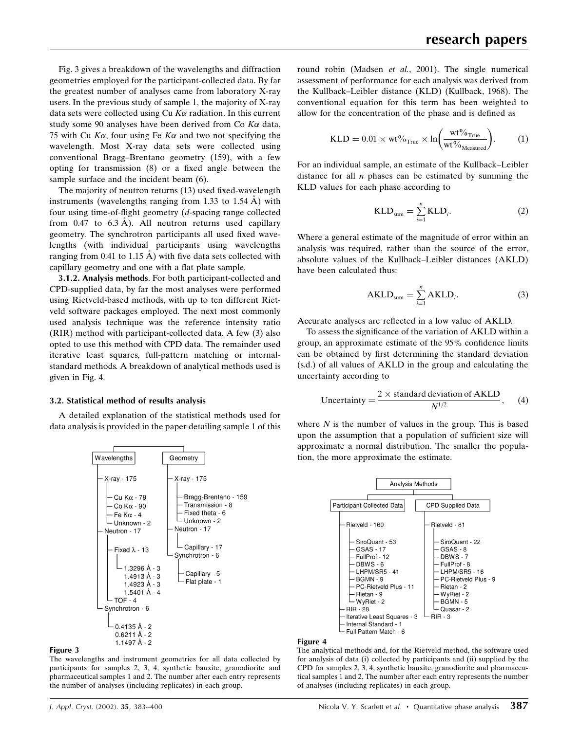Fig. 3 gives a breakdown of the wavelengths and diffraction geometries employed for the participant-collected data. By far the greatest number of analyses came from laboratory X-ray users. In the previous study of sample 1, the majority of X-ray data sets were collected using  $Cu$  K $\alpha$  radiation. In this current study some 90 analyses have been derived from Co  $K\alpha$  data, 75 with Cu K $\alpha$ , four using Fe K $\alpha$  and two not specifying the wavelength. Most X-ray data sets were collected using conventional Bragg-Brentano geometry  $(159)$ , with a few opting for transmission  $(8)$  or a fixed angle between the sample surface and the incident beam (6).

The majority of neutron returns  $(13)$  used fixed-wavelength instruments (wavelengths ranging from 1.33 to 1.54  $\AA$ ) with four using time-of-flight geometry  $(d$ -spacing range collected from 0.47 to  $6.3 \text{ Å}$ ). All neutron returns used capillary geometry. The synchrotron participants all used fixed wavelengths (with individual participants using wavelengths ranging from 0.41 to 1.15  $\AA$ ) with five data sets collected with capillary geometry and one with a flat plate sample.

3.1.2. Analysis methods. For both participant-collected and CPD-supplied data, by far the most analyses were performed using Rietveld-based methods, with up to ten different Rietveld software packages employed. The next most commonly used analysis technique was the reference intensity ratio (RIR) method with participant-collected data. A few (3) also opted to use this method with CPD data. The remainder used iterative least squares, full-pattern matching or internalstandard methods. A breakdown of analytical methods used is given in Fig. 4.

# 3.2. Statistical method of results analysis

A detailed explanation of the statistical methods used for data analysis is provided in the paper detailing sample 1 of this



# Figure 3

The wavelengths and instrument geometries for all data collected by participants for samples 2, 3, 4, synthetic bauxite, granodiorite and pharmaceutical samples 1 and 2. The number after each entry represents the number of analyses (including replicates) in each group.

round robin (Madsen et al., 2001). The single numerical assessment of performance for each analysis was derived from the Kullback-Leibler distance (KLD) (Kullback, 1968). The conventional equation for this term has been weighted to allow for the concentration of the phase and is defined as

$$
KLD = 0.01 \times wt\%_{True} \times ln\left(\frac{wt\%_{True}}{wt\%_{Measured}}\right).
$$
 (1)

For an individual sample, an estimate of the Kullback-Leibler distance for all  $n$  phases can be estimated by summing the KLD values for each phase according to

$$
KLD_{sum} = \sum_{i=1}^{n} KLD_{i}.
$$
 (2)

Where a general estimate of the magnitude of error within an analysis was required, rather than the source of the error, absolute values of the Kullback-Leibler distances (AKLD) have been calculated thus:

$$
AKLD_{sum} = \sum_{i=1}^{n} AKLD_i.
$$
 (3)

Accurate analyses are reflected in a low value of AKLD.

To assess the significance of the variation of AKLD within a group, an approximate estimate of the 95% confidence limits can be obtained by first determining the standard deviation (s.d.) of all values of AKLD in the group and calculating the uncertainty according to

Uncertainty = 
$$
\frac{2 \times \text{standard deviation of AKLD}}{N^{1/2}}
$$
, (4)

where  $N$  is the number of values in the group. This is based upon the assumption that a population of sufficient size will approximate a normal distribution. The smaller the population, the more approximate the estimate.



### Figure 4

The analytical methods and, for the Rietveld method, the software used for analysis of data (i) collected by participants and (ii) supplied by the CPD for samples 2, 3, 4, synthetic bauxite, granodiorite and pharmaceutical samples 1 and 2. The number after each entry represents the number of analyses (including replicates) in each group.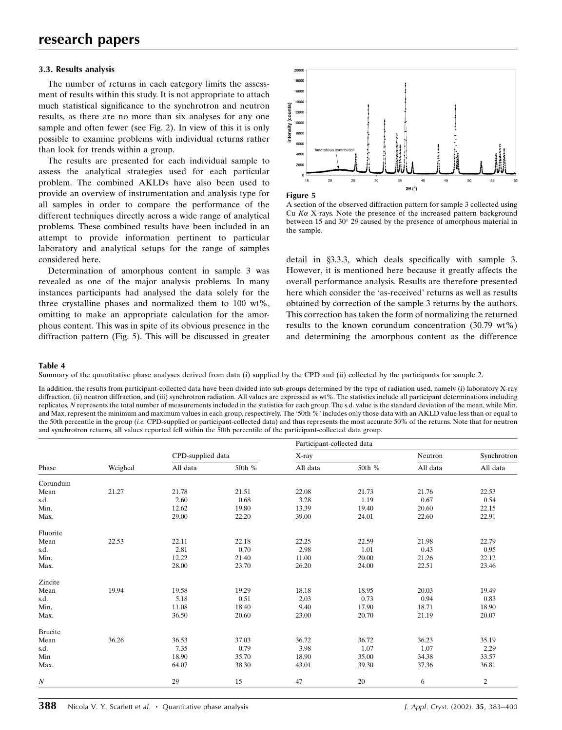# 3.3. Results analysis

The number of returns in each category limits the assessment of results within this study. It is not appropriate to attach much statistical significance to the synchrotron and neutron results, as there are no more than six analyses for any one sample and often fewer (see Fig. 2). In view of this it is only possible to examine problems with individual returns rather than look for trends within a group.

The results are presented for each individual sample to assess the analytical strategies used for each particular problem. The combined AKLDs have also been used to provide an overview of instrumentation and analysis type for all samples in order to compare the performance of the different techniques directly across a wide range of analytical problems. These combined results have been included in an attempt to provide information pertinent to particular laboratory and analytical setups for the range of samples considered here.

Determination of amorphous content in sample 3 was revealed as one of the major analysis problems. In many instances participants had analysed the data solely for the three crystalline phases and normalized them to 100 wt%, omitting to make an appropriate calculation for the amorphous content. This was in spite of its obvious presence in the diffraction pattern (Fig. 5). This will be discussed in greater



Figure 5

A section of the observed diffraction pattern for sample 3 collected using Cu  $K\alpha$  X-rays. Note the presence of the increased pattern background between 15 and 30 $\degree$  2 $\theta$  caused by the presence of amorphous material in the sample.

detail in  $\S$ 3.3.3, which deals specifically with sample 3. However, it is mentioned here because it greatly affects the overall performance analysis. Results are therefore presented here which consider the 'as-received' returns as well as results obtained by correction of the sample 3 returns by the authors. This correction has taken the form of normalizing the returned results to the known corundum concentration (30.79 wt%) and determining the amorphous content as the difference

### Table 4

Summary of the quantitative phase analyses derived from data (i) supplied by the CPD and (ii) collected by the participants for sample 2.

In addition, the results from participant-collected data have been divided into sub-groups determined by the type of radiation used, namely (i) laboratory X-ray diffraction, (ii) neutron diffraction, and (iii) synchrotron radiation. All values are expressed as wt%. The statistics include all participant determinations including replicates. N represents the total number of measurements included in the statistics for each group. The s.d. value is the standard deviation of the mean, while Min. and Max. represent the minimum and maximum values in each group, respectively. The `50th %' includes only those data with an AKLD value less than or equal to the 50th percentile in the group (i.e. CPD-supplied or participant-collected data) and thus represents the most accurate 50% of the returns. Note that for neutron and synchrotron returns, all values reported fell within the 50th percentile of the participant-collected data group.

|          |         |                   |        | Participant-collected data |        |          |             |
|----------|---------|-------------------|--------|----------------------------|--------|----------|-------------|
|          |         | CPD-supplied data |        | X-ray                      |        | Neutron  | Synchrotron |
| Phase    | Weighed | All data          | 50th % | All data                   | 50th % | All data | All data    |
| Corundum |         |                   |        |                            |        |          |             |
| Mean     | 21.27   | 21.78             | 21.51  | 22.08                      | 21.73  | 21.76    | 22.53       |
| s.d.     |         | 2.60              | 0.68   | 3.28                       | 1.19   | 0.67     | 0.54        |
| Min.     |         | 12.62             | 19.80  | 13.39                      | 19.40  | 20.60    | 22.15       |
| Max.     |         | 29.00             | 22.20  | 39.00                      | 24.01  | 22.60    | 22.91       |
| Fluorite |         |                   |        |                            |        |          |             |
| Mean     | 22.53   | 22.11             | 22.18  | 22.25                      | 22.59  | 21.98    | 22.79       |
| s.d.     |         | 2.81              | 0.70   | 2.98                       | 1.01   | 0.43     | 0.95        |
| Min.     |         | 12.22             | 21.40  | 11.00                      | 20.00  | 21.26    | 22.12       |
| Max.     |         | 28.00             | 23.70  | 26.20                      | 24.00  | 22.51    | 23.46       |
| Zincite  |         |                   |        |                            |        |          |             |
| Mean     | 19.94   | 19.58             | 19.29  | 18.18                      | 18.95  | 20.03    | 19.49       |
| s.d.     |         | 5.18              | 0.51   | 2.03                       | 0.73   | 0.94     | 0.83        |
| Min.     |         | 11.08             | 18.40  | 9.40                       | 17.90  | 18.71    | 18.90       |
| Max.     |         | 36.50             | 20.60  | 23.00                      | 20.70  | 21.19    | 20.07       |
| Brucite  |         |                   |        |                            |        |          |             |
| Mean     | 36.26   | 36.53             | 37.03  | 36.72                      | 36.72  | 36.23    | 35.19       |
| s.d.     |         | 7.35              | 0.79   | 3.98                       | 1.07   | 1.07     | 2.29        |
| Min      |         | 18.90             | 35.70  | 18.90                      | 35.00  | 34.38    | 33.57       |
| Max.     |         | 64.07             | 38.30  | 43.01                      | 39.30  | 37.36    | 36.81       |
| N        |         | 29                | 15     | 47                         | 20     | 6        | 2           |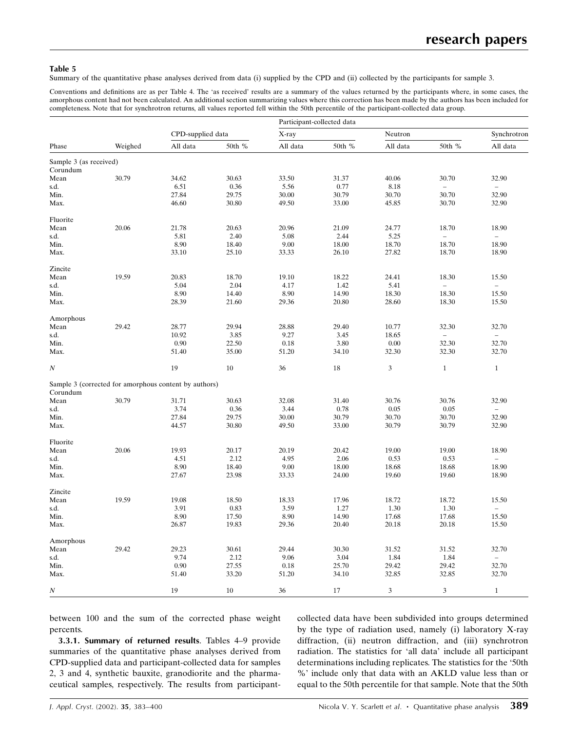Summary of the quantitative phase analyses derived from data (i) supplied by the CPD and (ii) collected by the participants for sample 3.

Conventions and definitions are as per Table 4. The 'as received' results are a summary of the values returned by the participants where, in some cases, the amorphous content had not been calculated. An additional section summarizing values where this correction has been made by the authors has been included for completeness. Note that for synchrotron returns, all values reported fell within the 50th percentile of the participant-collected data group.

|                                                       |         |                   |               |               | Participant-collected data |                |                          |                                   |  |  |  |  |
|-------------------------------------------------------|---------|-------------------|---------------|---------------|----------------------------|----------------|--------------------------|-----------------------------------|--|--|--|--|
|                                                       |         | CPD-supplied data |               | X-ray         |                            | Neutron        |                          | Synchrotron                       |  |  |  |  |
| Phase                                                 | Weighed | All data          | 50th %        | All data      | 50th %                     | All data       | 50th %                   | All data                          |  |  |  |  |
| Sample 3 (as received)                                |         |                   |               |               |                            |                |                          |                                   |  |  |  |  |
| Corundum                                              |         |                   |               |               |                            |                |                          |                                   |  |  |  |  |
| Mean                                                  | 30.79   | 34.62             | 30.63         | 33.50         | 31.37                      | 40.06          | 30.70                    | 32.90                             |  |  |  |  |
| s.d.                                                  |         | 6.51              | 0.36          | 5.56          | 0.77                       | 8.18           |                          | $\overline{\phantom{a}}$          |  |  |  |  |
| Min.                                                  |         | 27.84             | 29.75         | 30.00         | 30.79                      | 30.70          | 30.70                    | 32.90                             |  |  |  |  |
| Max.                                                  |         | 46.60             | 30.80         | 49.50         | 33.00                      | 45.85          | 30.70                    | 32.90                             |  |  |  |  |
| Fluorite                                              |         |                   |               |               |                            |                |                          |                                   |  |  |  |  |
| Mean                                                  | 20.06   | 21.78             | 20.63         | 20.96         | 21.09                      | 24.77          | 18.70                    | 18.90                             |  |  |  |  |
| s.d.                                                  |         | 5.81              | 2.40          | 5.08          | 2.44                       | 5.25           | $\qquad \qquad -$        | $\overline{\phantom{0}}$          |  |  |  |  |
| Min.                                                  |         | 8.90              | 18.40         | 9.00          | 18.00                      | 18.70          | 18.70                    | 18.90                             |  |  |  |  |
| Max.                                                  |         | 33.10             | 25.10         | 33.33         | 26.10                      | 27.82          | 18.70                    | 18.90                             |  |  |  |  |
| Zincite                                               |         |                   |               |               |                            |                |                          |                                   |  |  |  |  |
| Mean                                                  | 19.59   | 20.83             | 18.70         | 19.10         | 18.22                      | 24.41          | 18.30                    | 15.50                             |  |  |  |  |
| s.d.                                                  |         | 5.04              | 2.04          | 4.17          | 1.42                       | 5.41           | $\overline{\phantom{a}}$ | $\overline{\phantom{a}}$          |  |  |  |  |
| Min.                                                  |         | 8.90              | 14.40         | 8.90          | 14.90                      | 18.30          | 18.30                    | 15.50                             |  |  |  |  |
| Max.                                                  |         | 28.39             | 21.60         | 29.36         | 20.80                      | 28.60          | 18.30                    | 15.50                             |  |  |  |  |
| Amorphous                                             |         |                   |               |               |                            |                |                          |                                   |  |  |  |  |
| Mean                                                  | 29.42   | 28.77             | 29.94         | 28.88         | 29.40                      | 10.77          | 32.30                    | 32.70                             |  |  |  |  |
| s.d.                                                  |         | 10.92             | 3.85          | 9.27          | 3.45                       | 18.65          | $\overline{a}$           | $\overline{\phantom{0}}$          |  |  |  |  |
| Min.                                                  |         | 0.90              | 22.50         | 0.18          | 3.80                       | 0.00           | 32.30                    | 32.70                             |  |  |  |  |
| Max.                                                  |         | 51.40             | 35.00         | 51.20         | 34.10                      | 32.30          | 32.30                    | 32.70                             |  |  |  |  |
| $\boldsymbol{N}$                                      |         | 19                | 10            | 36            | 18                         | 3              | $\mathbf{1}$             | $\mathbf{1}$                      |  |  |  |  |
| Sample 3 (corrected for amorphous content by authors) |         |                   |               |               |                            |                |                          |                                   |  |  |  |  |
| Corundum                                              |         |                   |               |               |                            |                |                          |                                   |  |  |  |  |
| Mean                                                  | 30.79   | 31.71             | 30.63         | 32.08         | 31.40                      | 30.76          | 30.76                    | 32.90                             |  |  |  |  |
| s.d.                                                  |         | 3.74<br>27.84     | 0.36<br>29.75 | 3.44<br>30.00 | 0.78<br>30.79              | 0.05           | 0.05<br>30.70            | $\overline{\phantom{m}}$<br>32.90 |  |  |  |  |
| Min.                                                  |         | 44.57             | 30.80         | 49.50         | 33.00                      | 30.70<br>30.79 | 30.79                    | 32.90                             |  |  |  |  |
| Max.                                                  |         |                   |               |               |                            |                |                          |                                   |  |  |  |  |
| Fluorite                                              |         |                   |               |               |                            |                |                          |                                   |  |  |  |  |
| Mean                                                  | 20.06   | 19.93             | 20.17         | 20.19         | 20.42                      | 19.00          | 19.00                    | 18.90                             |  |  |  |  |
| s.d.                                                  |         | 4.51              | 2.12          | 4.95          | 2.06                       | 0.53           | 0.53                     | $\frac{1}{2}$                     |  |  |  |  |
| Min.                                                  |         | 8.90              | 18.40         | 9.00          | 18.00                      | 18.68          | 18.68                    | 18.90                             |  |  |  |  |
| Max.                                                  |         | 27.67             | 23.98         | 33.33         | 24.00                      | 19.60          | 19.60                    | 18.90                             |  |  |  |  |
| Zincite                                               |         |                   |               |               |                            |                |                          |                                   |  |  |  |  |
| Mean                                                  | 19.59   | 19.08             | 18.50         | 18.33         | 17.96                      | 18.72          | 18.72                    | 15.50                             |  |  |  |  |
| s.d.                                                  |         | 3.91              | 0.83          | 3.59          | 1.27                       | 1.30           | 1.30                     | $\overline{\phantom{0}}$          |  |  |  |  |
| Min.                                                  |         | 8.90              | 17.50         | 8.90          | 14.90                      | 17.68          | 17.68                    | 15.50                             |  |  |  |  |
| Max.                                                  |         | 26.87             | 19.83         | 29.36         | 20.40                      | 20.18          | 20.18                    | 15.50                             |  |  |  |  |
| Amorphous                                             |         |                   |               |               |                            |                |                          |                                   |  |  |  |  |
| Mean                                                  | 29.42   | 29.23             | 30.61         | 29.44         | 30.30                      | 31.52          | 31.52                    | 32.70                             |  |  |  |  |
| s.d.                                                  |         | 9.74              | 2.12          | 9.06          | 3.04                       | 1.84           | 1.84                     | $\qquad \qquad -$                 |  |  |  |  |
| Min.                                                  |         | 0.90              | 27.55         | 0.18          | 25.70                      | 29.42          | 29.42                    | 32.70                             |  |  |  |  |
| Max.                                                  |         | 51.40             | 33.20         | 51.20         | 34.10                      | 32.85          | 32.85                    | 32.70                             |  |  |  |  |
| $\boldsymbol{N}$                                      |         | 19                | 10            | 36            | 17                         | 3              | $\mathfrak{Z}$           | 1                                 |  |  |  |  |

between 100 and the sum of the corrected phase weight percents.

3.3.1. Summary of returned results. Tables 4-9 provide summaries of the quantitative phase analyses derived from CPD-supplied data and participant-collected data for samples 2, 3 and 4, synthetic bauxite, granodiorite and the pharmaceutical samples, respectively. The results from participantcollected data have been subdivided into groups determined by the type of radiation used, namely (i) laboratory X-ray diffraction, (ii) neutron diffraction, and (iii) synchrotron radiation. The statistics for `all data' include all participant determinations including replicates. The statistics for the `50th %' include only that data with an AKLD value less than or equal to the 50th percentile for that sample. Note that the 50th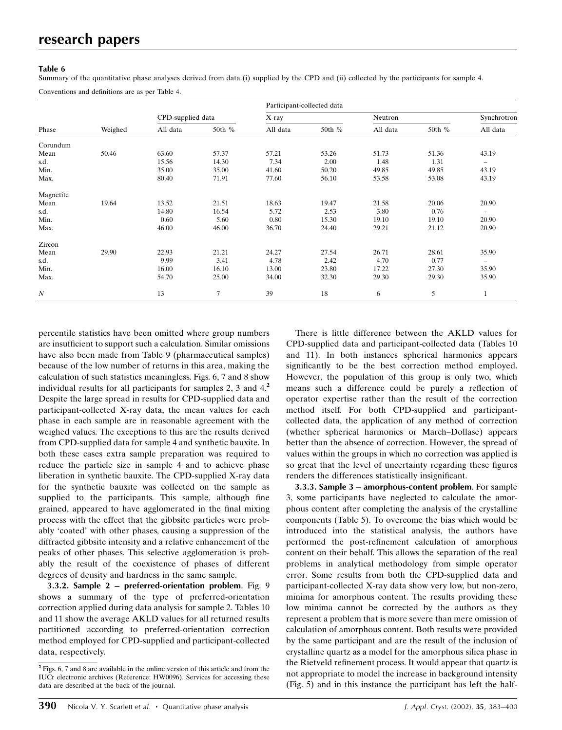Summary of the quantitative phase analyses derived from data (i) supplied by the CPD and (ii) collected by the participants for sample 4.

Conventions and definitions are as per Table 4.

|           | Weighed |                   |                | Participant-collected data |        |          |        |                          |  |
|-----------|---------|-------------------|----------------|----------------------------|--------|----------|--------|--------------------------|--|
|           |         | CPD-supplied data |                | X-ray                      |        | Neutron  |        | Synchrotron              |  |
| Phase     |         | All data          | 50th %         | All data                   | 50th % | All data | 50th % | All data                 |  |
| Corundum  |         |                   |                |                            |        |          |        |                          |  |
| Mean      | 50.46   | 63.60             | 57.37          | 57.21                      | 53.26  | 51.73    | 51.36  | 43.19                    |  |
| s.d.      |         | 15.56             | 14.30          | 7.34                       | 2.00   | 1.48     | 1.31   | $\overline{\phantom{0}}$ |  |
| Min.      |         | 35.00             | 35.00          | 41.60                      | 50.20  | 49.85    | 49.85  | 43.19                    |  |
| Max.      |         | 80.40             | 71.91          | 77.60                      | 56.10  | 53.58    | 53.08  | 43.19                    |  |
| Magnetite |         |                   |                |                            |        |          |        |                          |  |
| Mean      | 19.64   | 13.52             | 21.51          | 18.63                      | 19.47  | 21.58    | 20.06  | 20.90                    |  |
| s.d.      |         | 14.80             | 16.54          | 5.72                       | 2.53   | 3.80     | 0.76   | $\qquad \qquad -$        |  |
| Min.      |         | 0.60              | 5.60           | 0.80                       | 15.30  | 19.10    | 19.10  | 20.90                    |  |
| Max.      |         | 46.00             | 46.00          | 36.70                      | 24.40  | 29.21    | 21.12  | 20.90                    |  |
| Zircon    |         |                   |                |                            |        |          |        |                          |  |
| Mean      | 29.90   | 22.93             | 21.21          | 24.27                      | 27.54  | 26.71    | 28.61  | 35.90                    |  |
| s.d.      |         | 9.99              | 3.41           | 4.78                       | 2.42   | 4.70     | 0.77   | $\overline{\phantom{0}}$ |  |
| Min.      |         | 16.00             | 16.10          | 13.00                      | 23.80  | 17.22    | 27.30  | 35.90                    |  |
| Max.      |         | 54.70             | 25.00          | 34.00                      | 32.30  | 29.30    | 29.30  | 35.90                    |  |
| $\cal N$  |         | 13                | $\overline{7}$ | 39                         | 18     | 6        | 5      | 1                        |  |

percentile statistics have been omitted where group numbers are insufficient to support such a calculation. Similar omissions have also been made from Table 9 (pharmaceutical samples) because of the low number of returns in this area, making the calculation of such statistics meaningless. Figs. 6, 7 and 8 show individual results for all participants for samples 2, 3 and 4.<sup>2</sup> Despite the large spread in results for CPD-supplied data and participant-collected X-ray data, the mean values for each phase in each sample are in reasonable agreement with the weighed values. The exceptions to this are the results derived from CPD-supplied data for sample 4 and synthetic bauxite. In both these cases extra sample preparation was required to reduce the particle size in sample 4 and to achieve phase liberation in synthetic bauxite. The CPD-supplied X-ray data for the synthetic bauxite was collected on the sample as supplied to the participants. This sample, although fine grained, appeared to have agglomerated in the final mixing process with the effect that the gibbsite particles were probably 'coated' with other phases, causing a suppression of the diffracted gibbsite intensity and a relative enhancement of the peaks of other phases. This selective agglomeration is probably the result of the coexistence of phases of different degrees of density and hardness in the same sample.

3.3.2. Sample  $2 -$  preferred-orientation problem. Fig. 9 shows a summary of the type of preferred-orientation correction applied during data analysis for sample 2. Tables 10 and 11 show the average AKLD values for all returned results partitioned according to preferred-orientation correction method employed for CPD-supplied and participant-collected data, respectively.

There is little difference between the AKLD values for CPD-supplied data and participant-collected data (Tables 10 and 11). In both instances spherical harmonics appears significantly to be the best correction method employed. However, the population of this group is only two, which means such a difference could be purely a reflection of operator expertise rather than the result of the correction method itself. For both CPD-supplied and participantcollected data, the application of any method of correction (whether spherical harmonics or March-Dollase) appears better than the absence of correction. However, the spread of values within the groups in which no correction was applied is so great that the level of uncertainty regarding these figures renders the differences statistically insignificant.

3.3.3. Sample 3 - amorphous-content problem. For sample 3, some participants have neglected to calculate the amorphous content after completing the analysis of the crystalline components (Table 5). To overcome the bias which would be introduced into the statistical analysis, the authors have performed the post-refinement calculation of amorphous content on their behalf. This allows the separation of the real problems in analytical methodology from simple operator error. Some results from both the CPD-supplied data and participant-collected X-ray data show very low, but non-zero, minima for amorphous content. The results providing these low minima cannot be corrected by the authors as they represent a problem that is more severe than mere omission of calculation of amorphous content. Both results were provided by the same participant and are the result of the inclusion of crystalline quartz as a model for the amorphous silica phase in the Rietveld refinement process. It would appear that quartz is not appropriate to model the increase in background intensity (Fig. 5) and in this instance the participant has left the half-

<sup>2</sup> Figs. 6, 7 and 8 are available in the online version of this article and from the IUCr electronic archives (Reference: HW0096). Services for accessing these data are described at the back of the journal.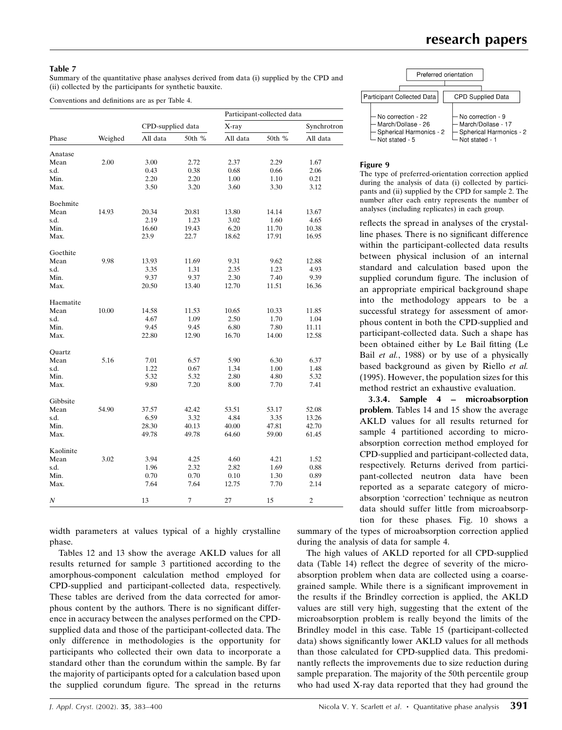# research papers

### Table 7

Summary of the quantitative phase analyses derived from data (i) supplied by the CPD and (ii) collected by the participants for synthetic bauxite.

Conventions and definitions are as per Table 4.

|           |         |                   |        | Participant-collected data |        |             |  |
|-----------|---------|-------------------|--------|----------------------------|--------|-------------|--|
|           |         | CPD-supplied data |        | X-ray                      |        | Synchrotron |  |
| Phase     | Weighed | All data          | 50th % | All data                   | 50th % | All data    |  |
| Anatase   |         |                   |        |                            |        |             |  |
| Mean      | 2.00    | 3.00              | 2.72   | 2.37                       | 2.29   | 1.67        |  |
| s.d.      |         | 0.43              | 0.38   | 0.68                       | 0.66   | 2.06        |  |
| Min.      |         | 2.20              | 2.20   | 1.00                       | 1.10   | 0.21        |  |
| Max.      |         | 3.50              | 3.20   | 3.60                       | 3.30   | 3.12        |  |
| Boehmite  |         |                   |        |                            |        |             |  |
| Mean      | 14.93   | 20.34             | 20.81  | 13.80                      | 14.14  | 13.67       |  |
| s.d.      |         | 2.19              | 1.23   | 3.02                       | 1.60   | 4.65        |  |
| Min.      |         | 16.60             | 19.43  | 6.20                       | 11.70  | 10.38       |  |
|           |         |                   |        |                            |        |             |  |
| Max.      |         | 23.9              | 22.7   | 18.62                      | 17.91  | 16.95       |  |
| Goethite  |         |                   |        |                            |        |             |  |
| Mean      | 9.98    | 13.93             | 11.69  | 9.31                       | 9.62   | 12.88       |  |
| s.d.      |         | 3.35              | 1.31   | 2.35                       | 1.23   | 4.93        |  |
| Min.      |         | 9.37              | 9.37   | 2.30                       | 7.40   | 9.39        |  |
| Max.      |         | 20.50             | 13.40  | 12.70                      | 11.51  | 16.36       |  |
| Haematite |         |                   |        |                            |        |             |  |
| Mean      | 10.00   | 14.58             | 11.53  | 10.65                      | 10.33  | 11.85       |  |
| s.d.      |         | 4.67              | 1.09   | 2.50                       | 1.70   | 1.04        |  |
| Min.      |         | 9.45              | 9.45   | 6.80                       | 7.80   | 11.11       |  |
| Max.      |         | 22.80             | 12.90  | 16.70                      | 14.00  | 12.58       |  |
| Quartz    |         |                   |        |                            |        |             |  |
| Mean      | 5.16    | 7.01              | 6.57   | 5.90                       | 6.30   | 6.37        |  |
| s.d.      |         | 1.22              | 0.67   | 1.34                       | 1.00   | 1.48        |  |
| Min.      |         | 5.32              | 5.32   | 2.80                       | 4.80   | 5.32        |  |
|           |         | 9.80              |        |                            |        |             |  |
| Max.      |         |                   | 7.20   | 8.00                       | 7.70   | 7.41        |  |
| Gibbsite  |         |                   |        |                            |        |             |  |
| Mean      | 54.90   | 37.57             | 42.42  | 53.51                      | 53.17  | 52.08       |  |
| s.d.      |         | 6.59              | 3.32   | 4.84                       | 3.35   | 13.26       |  |
| Min.      |         | 28.30             | 40.13  | 40.00                      | 47.81  | 42.70       |  |
| Max.      |         | 49.78             | 49.78  | 64.60                      | 59.00  | 61.45       |  |
| Kaolinite |         |                   |        |                            |        |             |  |
| Mean      | 3.02    | 3.94              | 4.25   | 4.60                       | 4.21   | 1.52        |  |
| s.d.      |         | 1.96              | 2.32   | 2.82                       | 1.69   | 0.88        |  |
| Min.      |         | 0.70              | 0.70   | 0.10                       | 1.30   | 0.89        |  |
| Max.      |         | 7.64              | 7.64   | 12.75                      | 7.70   | 2.14        |  |
| $\cal N$  |         | 13                | 7      | 27                         | 15     | $\sqrt{2}$  |  |

width parameters at values typical of a highly crystalline phase.

Tables 12 and 13 show the average AKLD values for all results returned for sample 3 partitioned according to the amorphous-component calculation method employed for CPD-supplied and participant-collected data, respectively. These tables are derived from the data corrected for amorphous content by the authors. There is no significant difference in accuracy between the analyses performed on the CPDsupplied data and those of the participant-collected data. The only difference in methodologies is the opportunity for participants who collected their own data to incorporate a standard other than the corundum within the sample. By far the majority of participants opted for a calculation based upon the supplied corundum figure. The spread in the returns



#### Figure 9

The type of preferred-orientation correction applied during the analysis of data (i) collected by participants and (ii) supplied by the CPD for sample 2. The number after each entry represents the number of analyses (including replicates) in each group.

reflects the spread in analyses of the crystalline phases. There is no significant difference within the participant-collected data results between physical inclusion of an internal standard and calculation based upon the supplied corundum figure. The inclusion of an appropriate empirical background shape into the methodology appears to be a successful strategy for assessment of amorphous content in both the CPD-supplied and participant-collected data. Such a shape has been obtained either by Le Bail fitting (Le Bail *et al.*, 1988) or by use of a physically based background as given by Riello et al. (1995). However, the population sizes for this method restrict an exhaustive evaluation.

 $3.3.4.$  Sample  $4 -$  microabsorption problem. Tables 14 and 15 show the average AKLD values for all results returned for sample 4 partitioned according to microabsorption correction method employed for CPD-supplied and participant-collected data, respectively. Returns derived from participant-collected neutron data have been reported as a separate category of microabsorption `correction' technique as neutron data should suffer little from microabsorption for these phases. Fig. 10 shows a

summary of the types of microabsorption correction applied during the analysis of data for sample 4.

The high values of AKLD reported for all CPD-supplied data (Table 14) reflect the degree of severity of the microabsorption problem when data are collected using a coarsegrained sample. While there is a significant improvement in the results if the Brindley correction is applied, the AKLD values are still very high, suggesting that the extent of the microabsorption problem is really beyond the limits of the Brindley model in this case. Table 15 (participant-collected data) shows significantly lower AKLD values for all methods than those calculated for CPD-supplied data. This predominantly reflects the improvements due to size reduction during sample preparation. The majority of the 50th percentile group who had used X-ray data reported that they had ground the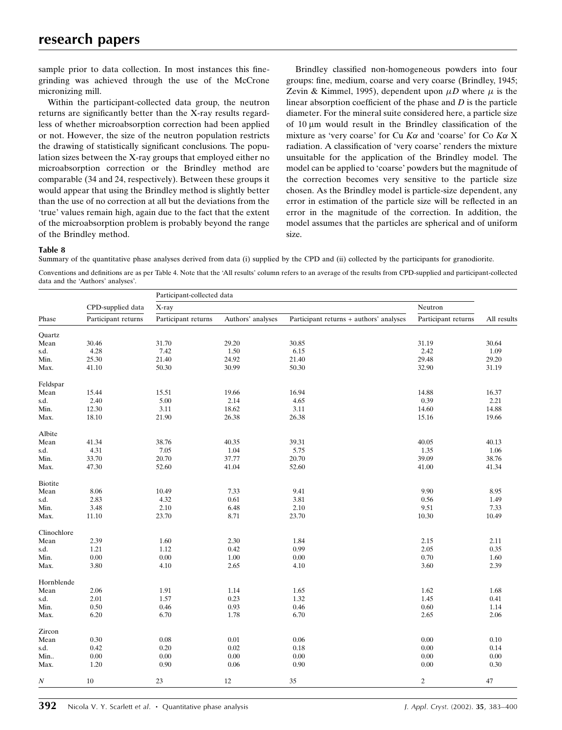sample prior to data collection. In most instances this finegrinding was achieved through the use of the McCrone micronizing mill.

Within the participant-collected data group, the neutron returns are significantly better than the X-ray results regardless of whether microabsorption correction had been applied or not. However, the size of the neutron population restricts the drawing of statistically significant conclusions. The population sizes between the X-ray groups that employed either no microabsorption correction or the Brindley method are comparable (34 and 24, respectively). Between these groups it would appear that using the Brindley method is slightly better than the use of no correction at all but the deviations from the `true' values remain high, again due to the fact that the extent of the microabsorption problem is probably beyond the range of the Brindley method.

Brindley classified non-homogeneous powders into four groups: fine, medium, coarse and very coarse (Brindley, 1945; Zevin & Kimmel, 1995), dependent upon  $\mu D$  where  $\mu$  is the linear absorption coefficient of the phase and  $D$  is the particle diameter. For the mineral suite considered here, a particle size of  $10 \mu m$  would result in the Brindley classification of the mixture as 'very coarse' for Cu  $K\alpha$  and 'coarse' for Co  $K\alpha$  X radiation. A classification of 'very coarse' renders the mixture unsuitable for the application of the Brindley model. The model can be applied to 'coarse' powders but the magnitude of the correction becomes very sensitive to the particle size chosen. As the Brindley model is particle-size dependent, any error in estimation of the particle size will be reflected in an error in the magnitude of the correction. In addition, the model assumes that the particles are spherical and of uniform size.

# Table 8

Summary of the quantitative phase analyses derived from data (i) supplied by the CPD and (ii) collected by the participants for granodiorite.

Conventions and definitions are as per Table 4. Note that the 'All results' column refers to an average of the results from CPD-supplied and participant-collected data and the `Authors' analyses'.

|             |                     | Participant-collected data |                   |                                         |                     |             |
|-------------|---------------------|----------------------------|-------------------|-----------------------------------------|---------------------|-------------|
|             | CPD-supplied data   | $X$ -ray                   |                   |                                         | Neutron             |             |
| Phase       | Participant returns | Participant returns        | Authors' analyses | Participant returns + authors' analyses | Participant returns | All results |
| Quartz      |                     |                            |                   |                                         |                     |             |
| Mean        | 30.46               | 31.70                      | 29.20             | 30.85                                   | 31.19               | 30.64       |
| s.d.        | 4.28                | 7.42                       | 1.50              | 6.15                                    | 2.42                | 1.09        |
| Min.        | 25.30               | 21.40                      | 24.92             | 21.40                                   | 29.48               | 29.20       |
| Max.        | 41.10               | 50.30                      | 30.99             | 50.30                                   | 32.90               | 31.19       |
| Feldspar    |                     |                            |                   |                                         |                     |             |
| Mean        | 15.44               | 15.51                      | 19.66             | 16.94                                   | 14.88               | 16.37       |
| s.d.        | 2.40                | 5.00                       | 2.14              | 4.65                                    | 0.39                | 2.21        |
| Min.        | 12.30               | 3.11                       | 18.62             | 3.11                                    | 14.60               | 14.88       |
| Max.        | 18.10               | 21.90                      | 26.38             | 26.38                                   | 15.16               | 19.66       |
| Albite      |                     |                            |                   |                                         |                     |             |
| Mean        | 41.34               | 38.76                      | 40.35             | 39.31                                   | 40.05               | 40.13       |
| s.d.        | 4.31                | 7.05                       | 1.04              | 5.75                                    | 1.35                | 1.06        |
| Min.        | 33.70               | 20.70                      | 37.77             | 20.70                                   | 39.09               | 38.76       |
| Max.        | 47.30               | 52.60                      | 41.04             | 52.60                                   | 41.00               | 41.34       |
| Biotite     |                     |                            |                   |                                         |                     |             |
| Mean        | 8.06                | 10.49                      | 7.33              | 9.41                                    | 9.90                | 8.95        |
| s.d.        | 2.83                | 4.32                       | 0.61              | 3.81                                    | 0.56                | 1.49        |
| Min.        | 3.48                | 2.10                       | 6.48              | 2.10                                    | 9.51                | 7.33        |
| Max.        | 11.10               | 23.70                      | 8.71              | 23.70                                   | 10.30               | 10.49       |
| Clinochlore |                     |                            |                   |                                         |                     |             |
| Mean        | 2.39                | 1.60                       | 2.30              | 1.84                                    | 2.15                | 2.11        |
| s.d.        | 1.21                | 1.12                       | 0.42              | 0.99                                    | 2.05                | 0.35        |
|             |                     | 0.00                       | 1.00              |                                         | 0.70                |             |
| Min.        | 0.00                |                            |                   | 0.00                                    |                     | 1.60        |
| Max.        | 3.80                | 4.10                       | 2.65              | 4.10                                    | 3.60                | 2.39        |
| Hornblende  |                     |                            |                   |                                         |                     |             |
| Mean        | 2.06                | 1.91                       | 1.14              | 1.65                                    | 1.62                | 1.68        |
| s.d.        | 2.01                | 1.57                       | 0.23              | 1.32                                    | 1.45                | 0.41        |
| Min.        | 0.50                | 0.46                       | 0.93              | 0.46                                    | 0.60                | 1.14        |
| Max.        | 6.20                | 6.70                       | 1.78              | 6.70                                    | 2.65                | 2.06        |
| Zircon      |                     |                            |                   |                                         |                     |             |
| Mean        | 0.30                | 0.08                       | 0.01              | 0.06                                    | 0.00                | 0.10        |
| s.d.        | 0.42                | 0.20                       | 0.02              | 0.18                                    | 0.00                | 0.14        |
| Min         | 0.00                | 0.00                       | 0.00              | 0.00                                    | 0.00                | $0.00\,$    |
| Max.        | 1.20                | 0.90                       | 0.06              | 0.90                                    | 0.00                | 0.30        |
| $\cal N$    | 10                  | 23                         | 12                | 35                                      | $\overline{c}$      | 47          |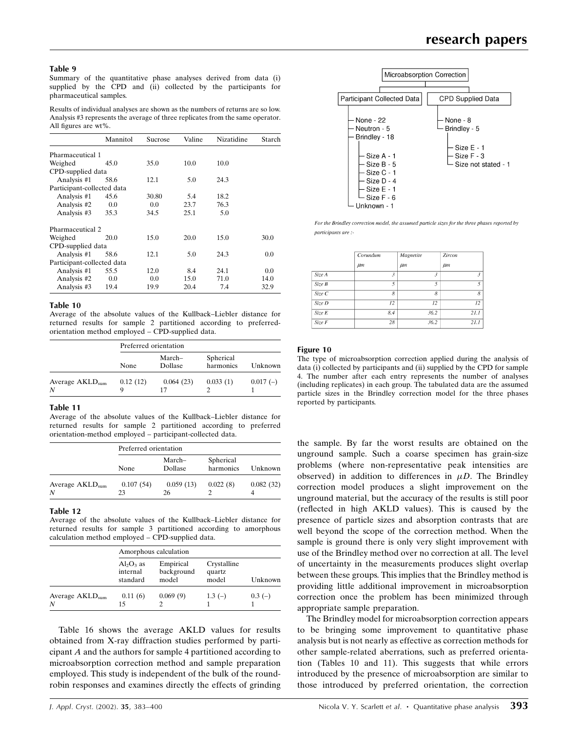Summary of the quantitative phase analyses derived from data (i) supplied by the CPD and (ii) collected by the participants for pharmaceutical samples.

Results of individual analyses are shown as the numbers of returns are so low. Analysis #3 represents the average of three replicates from the same operator. All figures are  $wt\%$ .

|                            | Mannitol | Sucrose       | Valine | Nizatidine | Starch |
|----------------------------|----------|---------------|--------|------------|--------|
| Pharmaceutical 1           |          |               |        |            |        |
| Weighed                    | 45.0     | 35.0          | 10.0   | 10.0       |        |
| CPD-supplied data          |          |               |        |            |        |
| Analysis #1                | 58.6     | 12.1          | 5.0    | 24.3       |        |
| Participant-collected data |          |               |        |            |        |
| Analysis #1                | 45.6     | 30.80         | 5.4    | 18.2       |        |
| Analysis #2                | 0.0      | $0.0^{\circ}$ | 23.7   | 76.3       |        |
| Analysis #3                | 35.3     | 34.5          | 25.1   | 5.0        |        |
| Pharmaceutical 2           |          |               |        |            |        |
| Weighed                    | 20.0     | 15.0          | 20.0   | 15.0       | 30.0   |
| CPD-supplied data          |          |               |        |            |        |
| Analysis #1                | 58.6     | 12.1          | 5.0    | 24.3       | 0.0    |
| Participant-collected data |          |               |        |            |        |
| Analysis #1                | 55.5     | 12.0          | 8.4    | 24.1       | 0.0    |
| Analysis #2                | 0.0      | 0.0           | 15.0   | 71.0       | 14.0   |
| Analysis #3                | 19.4     | 19.9          | 20.4   | 7.4        | 32.9   |

#### Table 10

Average of the absolute values of the Kullback-Liebler distance for returned results for sample 2 partitioned according to preferredorientation method employed - CPD-supplied data.

|                        | Preferred orientation |                          |                        |            |
|------------------------|-----------------------|--------------------------|------------------------|------------|
|                        | None                  | March-<br><b>Dollase</b> | Spherical<br>harmonics | Unknown    |
| Average $AKLDsum$<br>N | 0.12(12)              | 0.064(23)                | 0.033(1)               | $0.017(-)$ |

#### Table 11

Average of the absolute values of the Kullback–Liebler distance for returned results for sample 2 partitioned according to preferred orientation-method employed - participant-collected data.

|                           | Preferred orientation |                          |                        |           |  |
|---------------------------|-----------------------|--------------------------|------------------------|-----------|--|
|                           | None                  | March-<br><b>Dollase</b> | Spherical<br>harmonics | Unknown   |  |
| Average $AKLD_{sum}$<br>N | 0.107(54)<br>23       | 0.059(13)<br>26          | 0.022(8)               | 0.082(32) |  |

#### Table 12

Average of the absolute values of the Kullback–Liebler distance for returned results for sample 3 partitioned according to amorphous  $calculation method employed – CPD-supplied data.$ 

|                        | Amorphous calculation                |                                  |                                |          |  |
|------------------------|--------------------------------------|----------------------------------|--------------------------------|----------|--|
|                        | $Al_2O_3$ as<br>internal<br>standard | Empirical<br>background<br>model | Crystalline<br>quartz<br>model | Unknown  |  |
| Average $AKLDsum$<br>N | 0.11(6)<br>15                        | 0.069(9)                         | $1.3(-)$                       | $0.3(-)$ |  |

Table 16 shows the average AKLD values for results obtained from X-ray diffraction studies performed by participant A and the authors for sample 4 partitioned according to microabsorption correction method and sample preparation employed. This study is independent of the bulk of the roundrobin responses and examines directly the effects of grinding



For the Brindley correction model, the assumed particle sizes for the three phases reported by participants are:-

|        | Corundum       | Magnetite | Zircon  |
|--------|----------------|-----------|---------|
|        | $\mu$ m        | $\mu$ m   | $\mu$ m |
| Size A | $\mathfrak{z}$ | 3         | 3       |
| Size B | 5              | 5         | 5       |
| Size C | 8              | 8         | 8       |
| Size D | 12             | 12        | 12      |
| Size E | 8.4            | 36.2      | 21.1    |
| Size F | 28             | 36.2      | 21.1    |

#### Figure 10

The type of microabsorption correction applied during the analysis of data (i) collected by participants and (ii) supplied by the CPD for sample 4. The number after each entry represents the number of analyses (including replicates) in each group. The tabulated data are the assumed particle sizes in the Brindley correction model for the three phases reported by participants.

the sample. By far the worst results are obtained on the unground sample. Such a coarse specimen has grain-size problems (where non-representative peak intensities are observed) in addition to differences in  $\mu D$ . The Brindley correction model produces a slight improvement on the unground material, but the accuracy of the results is still poor (reflected in high AKLD values). This is caused by the presence of particle sizes and absorption contrasts that are well beyond the scope of the correction method. When the sample is ground there is only very slight improvement with use of the Brindley method over no correction at all. The level of uncertainty in the measurements produces slight overlap between these groups. This implies that the Brindley method is providing little additional improvement in microabsorption correction once the problem has been minimized through appropriate sample preparation.

The Brindley model for microabsorption correction appears to be bringing some improvement to quantitative phase analysis but is not nearly as effective as correction methods for other sample-related aberrations, such as preferred orientation (Tables 10 and 11). This suggests that while errors introduced by the presence of microabsorption are similar to those introduced by preferred orientation, the correction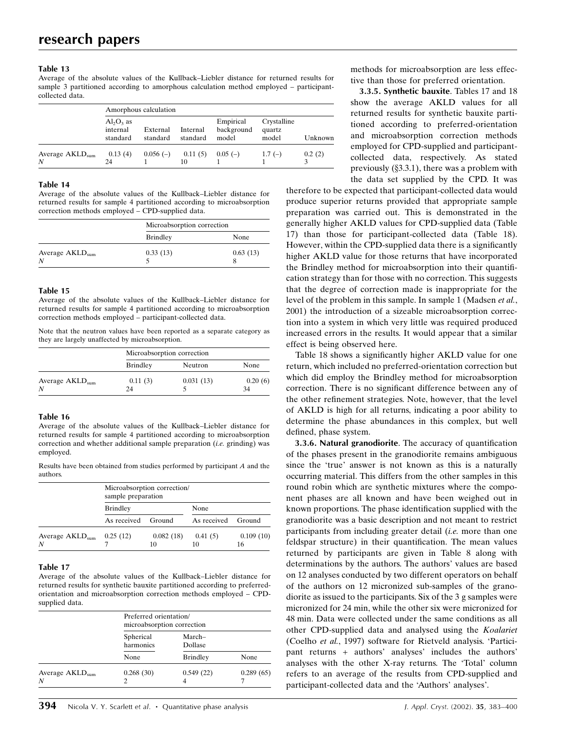Average of the absolute values of the Kullback–Liebler distance for returned results for sample 3 partitioned according to amorphous calculation method employed - participantcollected data.

|                           | Amorphous calculation                |                      |                      |                                  |                                |         |
|---------------------------|--------------------------------------|----------------------|----------------------|----------------------------------|--------------------------------|---------|
|                           | $Al_2O_3$ as<br>internal<br>standard | External<br>standard | Internal<br>standard | Empirical<br>background<br>model | Crystalline<br>quartz<br>model | Unknown |
| Average $AKLD_{sum}$<br>N | 0.13(4)<br>24                        | $0.056(-)$           | 0.11(5)<br>10        | $0.05(-)$                        | $1.7(-)$                       | 0.2(2)  |

#### Table 14

Average of the absolute values of the Kullback–Liebler distance for returned results for sample 4 partitioned according to microabsorption correction methods employed - CPD-supplied data.

|                   | Microabsorption correction |          |  |
|-------------------|----------------------------|----------|--|
|                   | <b>Brindley</b>            | None     |  |
| Average $AKLDsum$ | 0.33(13)                   | 0.63(13) |  |

### Table 15

Average of the absolute values of the Kullback-Liebler distance for returned results for sample 4 partitioned according to microabsorption correction methods employed – participant-collected data.

Note that the neutron values have been reported as a separate category as they are largely unaffected by microabsorption.

|    | Microabsorption correction |               |  |  |
|----|----------------------------|---------------|--|--|
|    | Neutron                    | None          |  |  |
|    |                            | 0.20(6)<br>34 |  |  |
| 24 | <b>Brindley</b><br>0.11(3) | 0.031(13)     |  |  |

### Table 16

Average of the absolute values of the Kullback-Liebler distance for returned results for sample 4 partitioned according to microabsorption correction and whether additional sample preparation (i.e. grinding) was employed.

Results have been obtained from studies performed by participant A and the authors.

|                        | Microabsorption correction/<br>sample preparation |                 |                    |                 |  |
|------------------------|---------------------------------------------------|-----------------|--------------------|-----------------|--|
|                        | <b>Brindley</b>                                   |                 | None               |                 |  |
|                        | As received Ground                                |                 | As received Ground |                 |  |
| Average $AKLDsum$<br>N | 0.25(12)                                          | 0.082(18)<br>10 | 0.41(5)<br>10      | 0.109(10)<br>16 |  |

### Table 17

Average of the absolute values of the Kullback-Liebler distance for returned results for synthetic bauxite partitioned according to preferredorientation and microabsorption correction methods employed - CPDsupplied data.

|                        | Preferred orientation/<br>microabsorption correction |                   |           |  |
|------------------------|------------------------------------------------------|-------------------|-----------|--|
|                        | Spherical<br>harmonics                               | March-<br>Dollase |           |  |
|                        | None                                                 | <b>Brindley</b>   | None      |  |
| Average $AKLDsum$<br>N | 0.268(30)                                            | 0.549(22)         | 0.289(65) |  |

methods for microabsorption are less effective than those for preferred orientation.

3.3.5. Synthetic bauxite. Tables 17 and 18 show the average AKLD values for all returned results for synthetic bauxite partitioned according to preferred-orientation and microabsorption correction methods employed for CPD-supplied and participantcollected data, respectively. As stated previously  $(\S3.3.1)$ , there was a problem with the data set supplied by the CPD. It was

therefore to be expected that participant-collected data would produce superior returns provided that appropriate sample preparation was carried out. This is demonstrated in the generally higher AKLD values for CPD-supplied data (Table 17) than those for participant-collected data (Table 18). However, within the CPD-supplied data there is a significantly higher AKLD value for those returns that have incorporated the Brindley method for microabsorption into their quantification strategy than for those with no correction. This suggests that the degree of correction made is inappropriate for the level of the problem in this sample. In sample 1 (Madsen et al., 2001) the introduction of a sizeable microabsorption correction into a system in which very little was required produced increased errors in the results. It would appear that a similar effect is being observed here.

Table 18 shows a significantly higher AKLD value for one return, which included no preferred-orientation correction but which did employ the Brindley method for microabsorption correction. There is no significant difference between any of the other refinement strategies. Note, however, that the level of AKLD is high for all returns, indicating a poor ability to determine the phase abundances in this complex, but well defined, phase system.

3.3.6. Natural granodiorite. The accuracy of quantification of the phases present in the granodiorite remains ambiguous since the 'true' answer is not known as this is a naturally occurring material. This differs from the other samples in this round robin which are synthetic mixtures where the component phases are all known and have been weighed out in known proportions. The phase identification supplied with the granodiorite was a basic description and not meant to restrict participants from including greater detail  $(i.e.$  more than one feldspar structure) in their quantification. The mean values returned by participants are given in Table 8 along with determinations by the authors. The authors' values are based on 12 analyses conducted by two different operators on behalf of the authors on 12 micronized sub-samples of the granodiorite as issued to the participants. Six of the 3 g samples were micronized for 24 min, while the other six were micronized for 48 min. Data were collected under the same conditions as all other CPD-supplied data and analysed using the Koalariet (Coelho et al., 1997) software for Rietveld analysis. `Participant returns + authors' analyses' includes the authors' analyses with the other X-ray returns. The 'Total' column refers to an average of the results from CPD-supplied and participant-collected data and the `Authors' analyses'.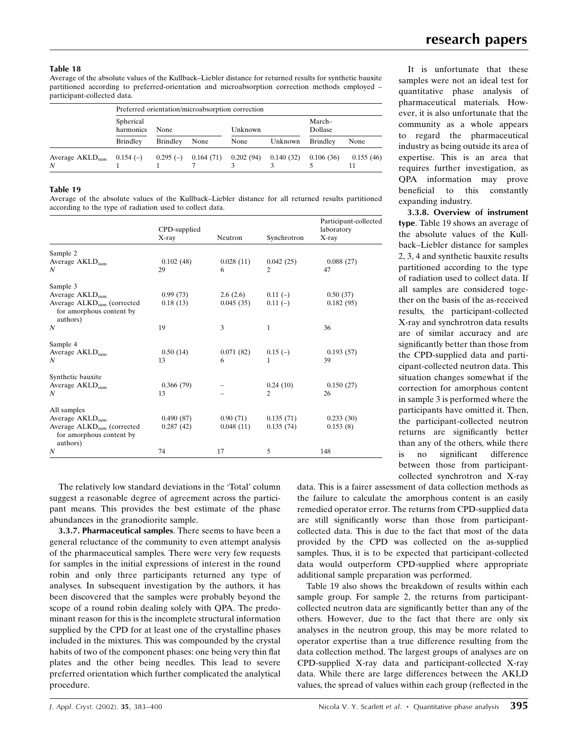Average of the absolute values of the Kullback-Liebler distance for returned results for synthetic bauxite partitioned according to preferred-orientation and microabsorption correction methods employed participant-collected data.

|                                                                 | Preferred orientation/microabsorption correction |                 |      |                         |         |                   |           |
|-----------------------------------------------------------------|--------------------------------------------------|-----------------|------|-------------------------|---------|-------------------|-----------|
|                                                                 | Spherical<br>harmonics                           | None            |      | Unknown                 |         | March-<br>Dollase |           |
|                                                                 | <b>Brindley</b>                                  | <b>Brindley</b> | None | None                    | Unknown | <b>Brindley</b>   | None      |
| Average AKLD <sub>sum</sub> 0.154 (-) 0.295 (-) 0.164 (71)<br>N |                                                  |                 |      | $0.202(94)$ $0.140(32)$ |         | 0.106(36)         | 0.155(46) |

# Table 19

Average of the absolute values of the Kullback–Liebler distance for all returned results partitioned according to the type of radiation used to collect data.

|                                                                                | CPD-supplied<br>X-ray | Neutron   | Synchrotron | Participant-collected<br>laboratory<br>X-ray |
|--------------------------------------------------------------------------------|-----------------------|-----------|-------------|----------------------------------------------|
|                                                                                |                       |           |             |                                              |
| Sample 2                                                                       |                       |           |             |                                              |
| Average $AKLDsum$                                                              | 0.102(48)             | 0.028(11) | 0.042(25)   | 0.088(27)                                    |
| N                                                                              | 29                    | 6         | 2           | 47                                           |
| Sample 3                                                                       |                       |           |             |                                              |
| Average AKLD <sub>sum</sub>                                                    | 0.99(73)              | 2.6(2.6)  | $0.11(-)$   | 0.50(37)                                     |
| Average ALKD <sub>sum</sub> (corrected<br>for amorphous content by<br>authors) | 0.18(13)              | 0.045(35) | $0.11(-)$   | 0.182(95)                                    |
| N                                                                              | 19                    | 3         | 1           | 36                                           |
| Sample 4                                                                       |                       |           |             |                                              |
| Average $AKLDsum$                                                              | 0.50(14)              | 0.071(82) | $0.15(-)$   | 0.193(57)                                    |
| N                                                                              | 13                    | 6         | 1           | 39                                           |
| Synthetic bauxite                                                              |                       |           |             |                                              |
| Average $AKLDsum$                                                              | 0.366(79)             |           | 0.24(10)    | 0.150(27)                                    |
| N                                                                              | 13                    |           | 2           | 26                                           |
| All samples                                                                    |                       |           |             |                                              |
| Average AKLD <sub>sum</sub>                                                    | 0.490(87)             | 0.90(71)  | 0.135(71)   | 0.233(30)                                    |
| Average ALKD <sub>sum</sub> (corrected                                         | 0.287(42)             | 0.048(11) | 0.135(74)   | 0.153(8)                                     |
| for amorphous content by<br>authors)                                           |                       |           |             |                                              |
| N                                                                              | 74                    | 17        | 5           | 148                                          |

The relatively low standard deviations in the 'Total' column suggest a reasonable degree of agreement across the participant means. This provides the best estimate of the phase abundances in the granodiorite sample.

3.3.7. Pharmaceutical samples. There seems to have been a general reluctance of the community to even attempt analysis of the pharmaceutical samples. There were very few requests for samples in the initial expressions of interest in the round robin and only three participants returned any type of analyses. In subsequent investigation by the authors, it has been discovered that the samples were probably beyond the scope of a round robin dealing solely with QPA. The predominant reason for this is the incomplete structural information supplied by the CPD for at least one of the crystalline phases included in the mixtures. This was compounded by the crystal habits of two of the component phases: one being very thin flat plates and the other being needles. This lead to severe preferred orientation which further complicated the analytical procedure.

It is unfortunate that these samples were not an ideal test for quantitative phase analysis of pharmaceutical materials. However, it is also unfortunate that the community as a whole appears to regard the pharmaceutical industry as being outside its area of expertise. This is an area that requires further investigation, as QPA information may prove beneficial to this constantly expanding industry.

3.3.8. Overview of instrument type. Table 19 shows an average of the absolute values of the Kullback±Liebler distance for samples 2, 3, 4 and synthetic bauxite results partitioned according to the type of radiation used to collect data. If all samples are considered together on the basis of the as-received results, the participant-collected X-ray and synchrotron data results are of similar accuracy and are significantly better than those from the CPD-supplied data and participant-collected neutron data. This situation changes somewhat if the correction for amorphous content in sample 3 is performed where the participants have omitted it. Then, the participant-collected neutron returns are significantly better than any of the others, while there is no significant difference between those from participantcollected synchrotron and X-ray

data. This is a fairer assessment of data collection methods as the failure to calculate the amorphous content is an easily remedied operator error. The returns from CPD-supplied data are still significantly worse than those from participantcollected data. This is due to the fact that most of the data provided by the CPD was collected on the as-supplied samples. Thus, it is to be expected that participant-collected data would outperform CPD-supplied where appropriate additional sample preparation was performed.

Table 19 also shows the breakdown of results within each sample group. For sample 2, the returns from participantcollected neutron data are significantly better than any of the others. However, due to the fact that there are only six analyses in the neutron group, this may be more related to operator expertise than a true difference resulting from the data collection method. The largest groups of analyses are on CPD-supplied X-ray data and participant-collected X-ray data. While there are large differences between the AKLD values, the spread of values within each group (reflected in the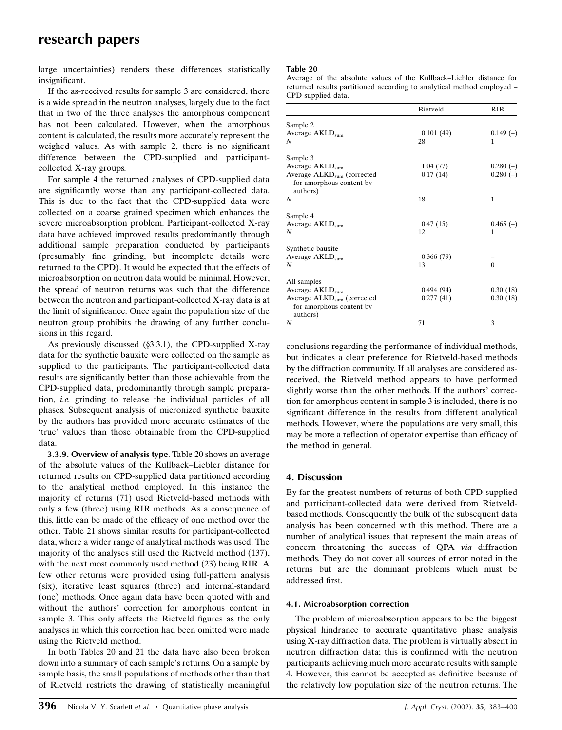large uncertainties) renders these differences statistically insignificant.

If the as-received results for sample 3 are considered, there is a wide spread in the neutron analyses, largely due to the fact that in two of the three analyses the amorphous component has not been calculated. However, when the amorphous content is calculated, the results more accurately represent the weighed values. As with sample 2, there is no significant difference between the CPD-supplied and participantcollected X-ray groups.

For sample 4 the returned analyses of CPD-supplied data are significantly worse than any participant-collected data. This is due to the fact that the CPD-supplied data were collected on a coarse grained specimen which enhances the severe microabsorption problem. Participant-collected X-ray data have achieved improved results predominantly through additional sample preparation conducted by participants (presumably fine grinding, but incomplete details were returned to the CPD). It would be expected that the effects of microabsorption on neutron data would be minimal. However, the spread of neutron returns was such that the difference between the neutron and participant-collected X-ray data is at the limit of significance. Once again the population size of the neutron group prohibits the drawing of any further conclusions in this regard.

As previously discussed  $(\S3.3.1)$ , the CPD-supplied X-ray data for the synthetic bauxite were collected on the sample as supplied to the participants. The participant-collected data results are significantly better than those achievable from the CPD-supplied data, predominantly through sample preparation, i.e. grinding to release the individual particles of all phases. Subsequent analysis of micronized synthetic bauxite by the authors has provided more accurate estimates of the `true' values than those obtainable from the CPD-supplied data.

3.3.9. Overview of analysis type. Table 20 shows an average of the absolute values of the Kullback-Liebler distance for returned results on CPD-supplied data partitioned according to the analytical method employed. In this instance the majority of returns (71) used Rietveld-based methods with only a few (three) using RIR methods. As a consequence of this, little can be made of the efficacy of one method over the other. Table 21 shows similar results for participant-collected data, where a wider range of analytical methods was used. The majority of the analyses still used the Rietveld method (137), with the next most commonly used method (23) being RIR. A few other returns were provided using full-pattern analysis (six), iterative least squares (three) and internal-standard (one) methods. Once again data have been quoted with and without the authors' correction for amorphous content in sample 3. This only affects the Rietveld figures as the only analyses in which this correction had been omitted were made using the Rietveld method.

In both Tables 20 and 21 the data have also been broken down into a summary of each sample's returns. On a sample by sample basis, the small populations of methods other than that of Rietveld restricts the drawing of statistically meaningful

# Table 20

Average of the absolute values of the Kullback-Liebler distance for returned results partitioned according to analytical method employed -CPD-supplied data.

|                                                                                | Rietveld        | <b>RIR</b>      |
|--------------------------------------------------------------------------------|-----------------|-----------------|
| Sample 2                                                                       |                 |                 |
| Average AKLD <sub>sum</sub><br>N                                               | 0.101(49)<br>28 | $0.149(-)$<br>1 |
| Sample 3                                                                       |                 |                 |
| Average $AKLDsum$                                                              | 1.04(77)        | $0.280(-)$      |
| Average ALKD <sub>sum</sub> (corrected<br>for amorphous content by<br>authors) | 0.17(14)        | $0.280(-)$      |
| N                                                                              | 18              | 1               |
| Sample 4                                                                       |                 |                 |
| Average $AKLDsum$                                                              | 0.47(15)        | $0.465(-)$      |
| N                                                                              | 12              | 1               |
| Synthetic bauxite                                                              |                 |                 |
| Average $AKLDsum$                                                              | 0.366(79)       |                 |
| N                                                                              | 13              | $\Omega$        |
| All samples                                                                    |                 |                 |
| Average $AKLDsum$                                                              | 0.494(94)       | 0.30(18)        |
| Average ALKD <sub>sum</sub> (corrected<br>for amorphous content by<br>authors) | 0.277(41)       | 0.30(18)        |
| N                                                                              | 71              | 3               |

conclusions regarding the performance of individual methods, but indicates a clear preference for Rietveld-based methods by the diffraction community. If all analyses are considered asreceived, the Rietveld method appears to have performed slightly worse than the other methods. If the authors' correction for amorphous content in sample 3 is included, there is no significant difference in the results from different analytical methods. However, where the populations are very small, this may be more a reflection of operator expertise than efficacy of the method in general.

# 4. Discussion

By far the greatest numbers of returns of both CPD-supplied and participant-collected data were derived from Rietveldbased methods. Consequently the bulk of the subsequent data analysis has been concerned with this method. There are a number of analytical issues that represent the main areas of concern threatening the success of QPA via diffraction methods. They do not cover all sources of error noted in the returns but are the dominant problems which must be addressed first.

# 4.1. Microabsorption correction

The problem of microabsorption appears to be the biggest physical hindrance to accurate quantitative phase analysis using X-ray diffraction data. The problem is virtually absent in neutron diffraction data; this is confirmed with the neutron participants achieving much more accurate results with sample 4. However, this cannot be accepted as definitive because of the relatively low population size of the neutron returns. The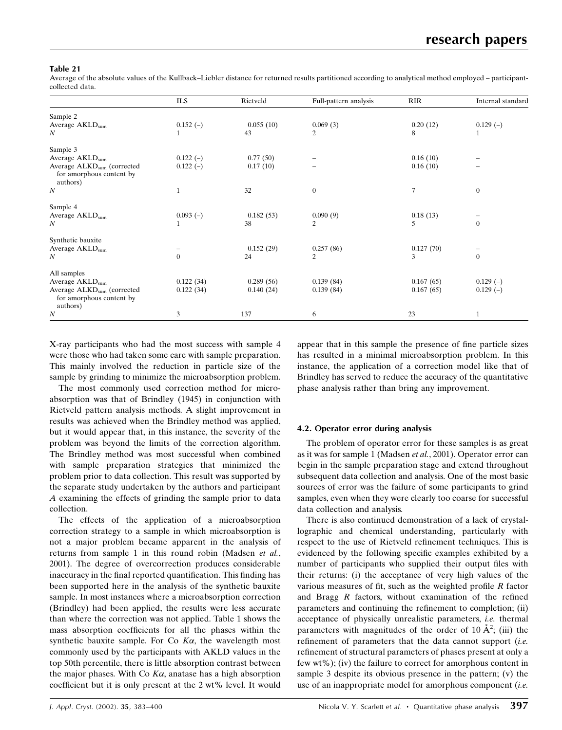Average of the absolute values of the Kullback-Liebler distance for returned results partitioned according to analytical method employed - participantcollected data.

|                                                                                | <b>ILS</b>       | Rietveld  | Full-pattern analysis | <b>RIR</b> | Internal standard |
|--------------------------------------------------------------------------------|------------------|-----------|-----------------------|------------|-------------------|
| Sample 2                                                                       |                  |           |                       |            |                   |
| Average $AKLDsum$                                                              | $0.152(-)$       | 0.055(10) | 0.069(3)              | 0.20(12)   | $0.129(-)$        |
| $\boldsymbol{N}$                                                               |                  | 43        | 2                     | 8          | 1                 |
| Sample 3                                                                       |                  |           |                       |            |                   |
| Average AKLD <sub>sum</sub>                                                    | $0.122(-)$       | 0.77(50)  |                       | 0.16(10)   |                   |
| Average ALKD <sub>sum</sub> (corrected<br>for amorphous content by<br>authors) | $0.122(-)$       | 0.17(10)  |                       | 0.16(10)   |                   |
| $\boldsymbol{N}$                                                               | $\mathbf{1}$     | 32        | $\boldsymbol{0}$      | 7          | $\boldsymbol{0}$  |
| Sample 4                                                                       |                  |           |                       |            |                   |
| Average $AKLDsum$                                                              | $0.093(-)$       | 0.182(53) | 0.090(9)              | 0.18(13)   |                   |
| $\boldsymbol{N}$                                                               |                  | 38        | 2                     | 5          | $\mathbf{0}$      |
| Synthetic bauxite                                                              |                  |           |                       |            |                   |
| Average AKLD <sub>sum</sub>                                                    |                  | 0.152(29) | 0.257(86)             | 0.127(70)  |                   |
| $\boldsymbol{N}$                                                               | $\boldsymbol{0}$ | 24        | 2                     | 3          | $\mathbf{0}$      |
| All samples                                                                    |                  |           |                       |            |                   |
| Average $AKLDsum$                                                              | 0.122(34)        | 0.289(56) | 0.139(84)             | 0.167(65)  | $0.129(-)$        |
| Average ALKD <sub>sum</sub> (corrected<br>for amorphous content by<br>authors) | 0.122(34)        | 0.140(24) | 0.139(84)             | 0.167(65)  | $0.129(-)$        |
| N                                                                              | 3                | 137       | 6                     | 23         | 1                 |

X-ray participants who had the most success with sample 4 were those who had taken some care with sample preparation. This mainly involved the reduction in particle size of the sample by grinding to minimize the microabsorption problem.

The most commonly used correction method for microabsorption was that of Brindley (1945) in conjunction with Rietveld pattern analysis methods. A slight improvement in results was achieved when the Brindley method was applied, but it would appear that, in this instance, the severity of the problem was beyond the limits of the correction algorithm. The Brindley method was most successful when combined with sample preparation strategies that minimized the problem prior to data collection. This result was supported by the separate study undertaken by the authors and participant A examining the effects of grinding the sample prior to data collection.

The effects of the application of a microabsorption correction strategy to a sample in which microabsorption is not a major problem became apparent in the analysis of returns from sample 1 in this round robin (Madsen et al., 2001). The degree of overcorrection produces considerable inaccuracy in the final reported quantification. This finding has been supported here in the analysis of the synthetic bauxite sample. In most instances where a microabsorption correction (Brindley) had been applied, the results were less accurate than where the correction was not applied. Table 1 shows the mass absorption coefficients for all the phases within the synthetic bauxite sample. For Co  $K\alpha$ , the wavelength most commonly used by the participants with AKLD values in the top 50th percentile, there is little absorption contrast between the major phases. With  $\text{Co } K\alpha$ , anatase has a high absorption coefficient but it is only present at the 2 wt% level. It would

appear that in this sample the presence of fine particle sizes has resulted in a minimal microabsorption problem. In this instance, the application of a correction model like that of Brindley has served to reduce the accuracy of the quantitative phase analysis rather than bring any improvement.

# 4.2. Operator error during analysis

The problem of operator error for these samples is as great as it was for sample 1 (Madsen et al., 2001). Operator error can begin in the sample preparation stage and extend throughout subsequent data collection and analysis. One of the most basic sources of error was the failure of some participants to grind samples, even when they were clearly too coarse for successful data collection and analysis.

There is also continued demonstration of a lack of crystallographic and chemical understanding, particularly with respect to the use of Rietveld refinement techniques. This is evidenced by the following specific examples exhibited by a number of participants who supplied their output files with their returns: (i) the acceptance of very high values of the various measures of fit, such as the weighted profile  $R$  factor and Bragg  $R$  factors, without examination of the refined parameters and continuing the refinement to completion; (ii) acceptance of physically unrealistic parameters, i.e. thermal parameters with magnitudes of the order of 10  $\AA^2$ ; (iii) the refinement of parameters that the data cannot support  $(i.e.$ refinement of structural parameters of phases present at only a few wt%); (iv) the failure to correct for amorphous content in sample 3 despite its obvious presence in the pattern; (v) the use of an inappropriate model for amorphous component *(i.e.*)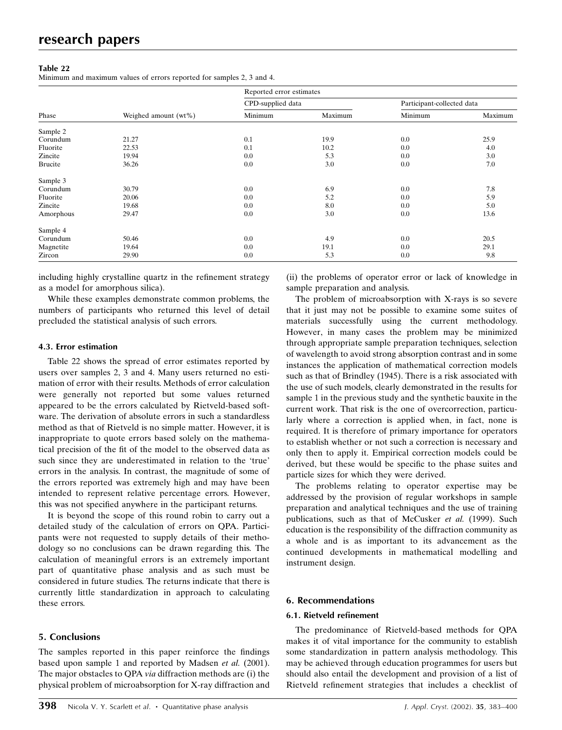Minimum and maximum values of errors reported for samples 2, 3 and 4.

| Phase          | Weighed amount (wt%) | Reported error estimates |         |                            |         |
|----------------|----------------------|--------------------------|---------|----------------------------|---------|
|                |                      | CPD-supplied data        |         | Participant-collected data |         |
|                |                      | Minimum                  | Maximum | Minimum                    | Maximum |
| Sample 2       |                      |                          |         |                            |         |
| Corundum       | 21.27                | 0.1                      | 19.9    | 0.0                        | 25.9    |
| Fluorite       | 22.53                | 0.1                      | 10.2    | 0.0                        | 4.0     |
| Zincite        | 19.94                | 0.0                      | 5.3     | 0.0                        | 3.0     |
| <b>Brucite</b> | 36.26                | 0.0                      | 3.0     | 0.0                        | 7.0     |
| Sample 3       |                      |                          |         |                            |         |
| Corundum       | 30.79                | 0.0                      | 6.9     | 0.0                        | 7.8     |
| Fluorite       | 20.06                | 0.0                      | 5.2     | 0.0                        | 5.9     |
| Zincite        | 19.68                | 0.0                      | 8.0     | 0.0                        | 5.0     |
| Amorphous      | 29.47                | 0.0                      | 3.0     | 0.0                        | 13.6    |
| Sample 4       |                      |                          |         |                            |         |
| Corundum       | 50.46                | 0.0                      | 4.9     | 0.0                        | 20.5    |
| Magnetite      | 19.64                | 0.0                      | 19.1    | 0.0                        | 29.1    |
| Zircon         | 29.90                | 0.0                      | 5.3     | 0.0                        | 9.8     |

including highly crystalline quartz in the refinement strategy as a model for amorphous silica).

While these examples demonstrate common problems, the numbers of participants who returned this level of detail precluded the statistical analysis of such errors.

# 4.3. Error estimation

Table 22 shows the spread of error estimates reported by users over samples 2, 3 and 4. Many users returned no estimation of error with their results. Methods of error calculation were generally not reported but some values returned appeared to be the errors calculated by Rietveld-based software. The derivation of absolute errors in such a standardless method as that of Rietveld is no simple matter. However, it is inappropriate to quote errors based solely on the mathematical precision of the fit of the model to the observed data as such since they are underestimated in relation to the 'true' errors in the analysis. In contrast, the magnitude of some of the errors reported was extremely high and may have been intended to represent relative percentage errors. However, this was not specified anywhere in the participant returns.

It is beyond the scope of this round robin to carry out a detailed study of the calculation of errors on QPA. Participants were not requested to supply details of their methodology so no conclusions can be drawn regarding this. The calculation of meaningful errors is an extremely important part of quantitative phase analysis and as such must be considered in future studies. The returns indicate that there is currently little standardization in approach to calculating these errors.

# 5. Conclusions

The samples reported in this paper reinforce the findings based upon sample 1 and reported by Madsen et al. (2001). The major obstacles to QPA via diffraction methods are (i) the physical problem of microabsorption for X-ray diffraction and

(ii) the problems of operator error or lack of knowledge in sample preparation and analysis.

The problem of microabsorption with X-rays is so severe that it just may not be possible to examine some suites of materials successfully using the current methodology. However, in many cases the problem may be minimized through appropriate sample preparation techniques, selection of wavelength to avoid strong absorption contrast and in some instances the application of mathematical correction models such as that of Brindley (1945). There is a risk associated with the use of such models, clearly demonstrated in the results for sample 1 in the previous study and the synthetic bauxite in the current work. That risk is the one of overcorrection, particularly where a correction is applied when, in fact, none is required. It is therefore of primary importance for operators to establish whether or not such a correction is necessary and only then to apply it. Empirical correction models could be derived, but these would be specific to the phase suites and particle sizes for which they were derived.

The problems relating to operator expertise may be addressed by the provision of regular workshops in sample preparation and analytical techniques and the use of training publications, such as that of McCusker et al. (1999). Such education is the responsibility of the diffraction community as a whole and is as important to its advancement as the continued developments in mathematical modelling and instrument design.

# 6. Recommendations

# 6.1. Rietveld refinement

The predominance of Rietveld-based methods for QPA makes it of vital importance for the community to establish some standardization in pattern analysis methodology. This may be achieved through education programmes for users but should also entail the development and provision of a list of Rietveld refinement strategies that includes a checklist of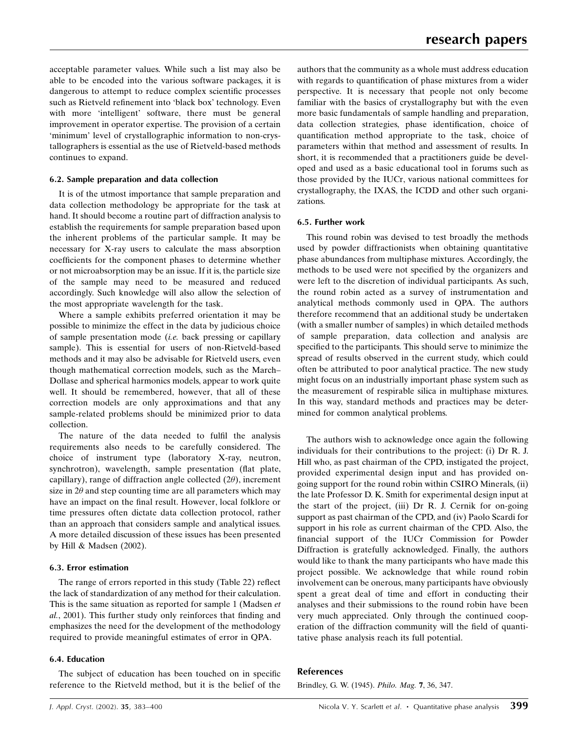acceptable parameter values. While such a list may also be able to be encoded into the various software packages, it is dangerous to attempt to reduce complex scientific processes such as Rietveld refinement into 'black box' technology. Even with more 'intelligent' software, there must be general improvement in operator expertise. The provision of a certain `minimum' level of crystallographic information to non-crystallographers is essential as the use of Rietveld-based methods continues to expand.

# 6.2. Sample preparation and data collection

It is of the utmost importance that sample preparation and data collection methodology be appropriate for the task at hand. It should become a routine part of diffraction analysis to establish the requirements for sample preparation based upon the inherent problems of the particular sample. It may be necessary for X-ray users to calculate the mass absorption coefficients for the component phases to determine whether or not microabsorption may be an issue. If it is, the particle size of the sample may need to be measured and reduced accordingly. Such knowledge will also allow the selection of the most appropriate wavelength for the task.

Where a sample exhibits preferred orientation it may be possible to minimize the effect in the data by judicious choice of sample presentation mode (i.e. back pressing or capillary sample). This is essential for users of non-Rietveld-based methods and it may also be advisable for Rietveld users, even though mathematical correction models, such as the March-Dollase and spherical harmonics models, appear to work quite well. It should be remembered, however, that all of these correction models are only approximations and that any sample-related problems should be minimized prior to data collection.

The nature of the data needed to fulfil the analysis requirements also needs to be carefully considered. The choice of instrument type (laboratory X-ray, neutron, synchrotron), wavelength, sample presentation (flat plate, capillary), range of diffraction angle collected  $(2\theta)$ , increment size in  $2\theta$  and step counting time are all parameters which may have an impact on the final result. However, local folklore or time pressures often dictate data collection protocol, rather than an approach that considers sample and analytical issues. A more detailed discussion of these issues has been presented by Hill & Madsen (2002).

# 6.3. Error estimation

The range of errors reported in this study (Table 22) reflect the lack of standardization of any method for their calculation. This is the same situation as reported for sample 1 (Madsen et  $al., 2001$ ). This further study only reinforces that finding and emphasizes the need for the development of the methodology required to provide meaningful estimates of error in QPA.

### 6.4. Education

The subject of education has been touched on in specific reference to the Rietveld method, but it is the belief of the authors that the community as a whole must address education with regards to quantification of phase mixtures from a wider perspective. It is necessary that people not only become familiar with the basics of crystallography but with the even more basic fundamentals of sample handling and preparation, data collection strategies, phase identification, choice of quantification method appropriate to the task, choice of parameters within that method and assessment of results. In short, it is recommended that a practitioners guide be developed and used as a basic educational tool in forums such as those provided by the IUCr, various national committees for crystallography, the IXAS, the ICDD and other such organizations.

# 6.5. Further work

This round robin was devised to test broadly the methods used by powder diffractionists when obtaining quantitative phase abundances from multiphase mixtures. Accordingly, the methods to be used were not specified by the organizers and were left to the discretion of individual participants. As such, the round robin acted as a survey of instrumentation and analytical methods commonly used in QPA. The authors therefore recommend that an additional study be undertaken (with a smaller number of samples) in which detailed methods of sample preparation, data collection and analysis are specified to the participants. This should serve to minimize the spread of results observed in the current study, which could often be attributed to poor analytical practice. The new study might focus on an industrially important phase system such as the measurement of respirable silica in multiphase mixtures. In this way, standard methods and practices may be determined for common analytical problems.

The authors wish to acknowledge once again the following individuals for their contributions to the project: (i) Dr R. J. Hill who, as past chairman of the CPD, instigated the project, provided experimental design input and has provided ongoing support for the round robin within CSIRO Minerals, (ii) the late Professor D. K. Smith for experimental design input at the start of the project, (iii) Dr R. J. Cernik for on-going support as past chairman of the CPD, and (iv) Paolo Scardi for support in his role as current chairman of the CPD. Also, the financial support of the IUCr Commission for Powder Diffraction is gratefully acknowledged. Finally, the authors would like to thank the many participants who have made this project possible. We acknowledge that while round robin involvement can be onerous, many participants have obviously spent a great deal of time and effort in conducting their analyses and their submissions to the round robin have been very much appreciated. Only through the continued cooperation of the diffraction community will the field of quantitative phase analysis reach its full potential.

# References

Brindley, G. W. (1945). Philo. Mag. 7, 36, 347.